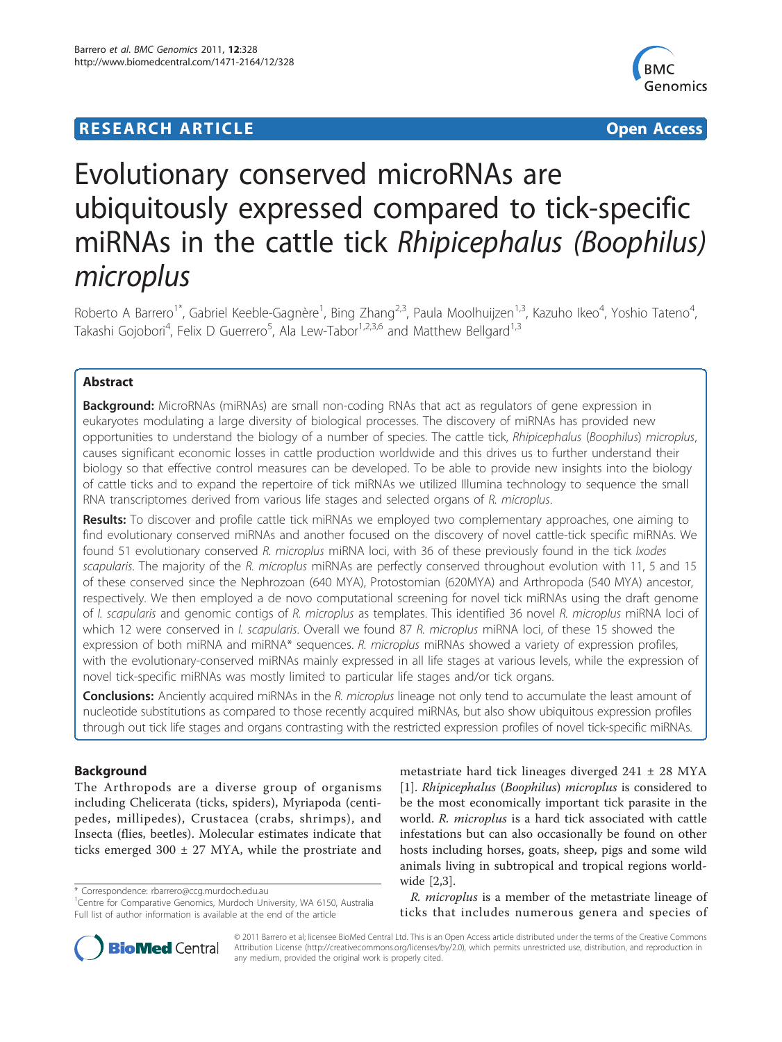## **RESEARCH ARTICLE Example 2014 CONSUMING A CONSUMING A CONSUMING A CONSUMING A CONSUMING A CONSUMING A CONSUMING A CONSUMING A CONSUMING A CONSUMING A CONSUMING A CONSUMING A CONSUMING A CONSUMING A CONSUMING A CONSUMI**



# Evolutionary conserved microRNAs are ubiquitously expressed compared to tick-specific miRNAs in the cattle tick Rhipicephalus (Boophilus) microplus

Roberto A Barrero<sup>1\*</sup>, Gabriel Keeble-Gagnère<sup>1</sup>, Bing Zhang<sup>2,3</sup>, Paula Moolhuijzen<sup>1,3</sup>, Kazuho Ikeo<sup>4</sup>, Yoshio Tateno<sup>4</sup> , Takashi Gojobori<sup>4</sup>, Felix D Guerrero<sup>5</sup>, Ala Lew-Tabor<sup>1,2,3,6</sup> and Matthew Bellgard<sup>1,3</sup>

## Abstract

**Background:** MicroRNAs (miRNAs) are small non-coding RNAs that act as regulators of gene expression in eukaryotes modulating a large diversity of biological processes. The discovery of miRNAs has provided new opportunities to understand the biology of a number of species. The cattle tick, Rhipicephalus (Boophilus) microplus, causes significant economic losses in cattle production worldwide and this drives us to further understand their biology so that effective control measures can be developed. To be able to provide new insights into the biology of cattle ticks and to expand the repertoire of tick miRNAs we utilized Illumina technology to sequence the small RNA transcriptomes derived from various life stages and selected organs of R. microplus.

Results: To discover and profile cattle tick miRNAs we employed two complementary approaches, one aiming to find evolutionary conserved miRNAs and another focused on the discovery of novel cattle-tick specific miRNAs. We found 51 evolutionary conserved R. microplus miRNA loci, with 36 of these previously found in the tick Ixodes scapularis. The majority of the R. microplus miRNAs are perfectly conserved throughout evolution with 11, 5 and 15 of these conserved since the Nephrozoan (640 MYA), Protostomian (620MYA) and Arthropoda (540 MYA) ancestor, respectively. We then employed a de novo computational screening for novel tick miRNAs using the draft genome of I. scapularis and genomic contigs of R. microplus as templates. This identified 36 novel R. microplus miRNA loci of which 12 were conserved in *I. scapularis*. Overall we found 87 R. microplus miRNA loci, of these 15 showed the expression of both miRNA and miRNA\* sequences. R. microplus miRNAs showed a variety of expression profiles, with the evolutionary-conserved miRNAs mainly expressed in all life stages at various levels, while the expression of novel tick-specific miRNAs was mostly limited to particular life stages and/or tick organs.

Conclusions: Anciently acquired miRNAs in the R. microplus lineage not only tend to accumulate the least amount of nucleotide substitutions as compared to those recently acquired miRNAs, but also show ubiquitous expression profiles through out tick life stages and organs contrasting with the restricted expression profiles of novel tick-specific miRNAs.

## **Background**

The Arthropods are a diverse group of organisms including Chelicerata (ticks, spiders), Myriapoda (centipedes, millipedes), Crustacea (crabs, shrimps), and Insecta (flies, beetles). Molecular estimates indicate that ticks emerged  $300 \pm 27$  MYA, while the prostriate and

\* Correspondence: [rbarrero@ccg.murdoch.edu.au](mailto:rbarrero@ccg.murdoch.edu.au)

metastriate hard tick lineages diverged 241 ± 28 MYA [[1\]](#page-15-0). Rhipicephalus (Boophilus) microplus is considered to be the most economically important tick parasite in the world. R. microplus is a hard tick associated with cattle infestations but can also occasionally be found on other hosts including horses, goats, sheep, pigs and some wild animals living in subtropical and tropical regions worldwide [\[2,3\]](#page-15-0).

R. microplus is a member of the metastriate lineage of ticks that includes numerous genera and species of



© 2011 Barrero et al; licensee BioMed Central Ltd. This is an Open Access article distributed under the terms of the Creative Commons Attribution License [\(http://creativecommons.org/licenses/by/2.0](http://creativecommons.org/licenses/by/2.0)), which permits unrestricted use, distribution, and reproduction in any medium, provided the original work is properly cited.

<sup>&</sup>lt;sup>1</sup>Centre for Comparative Genomics, Murdoch University, WA 6150, Australia Full list of author information is available at the end of the article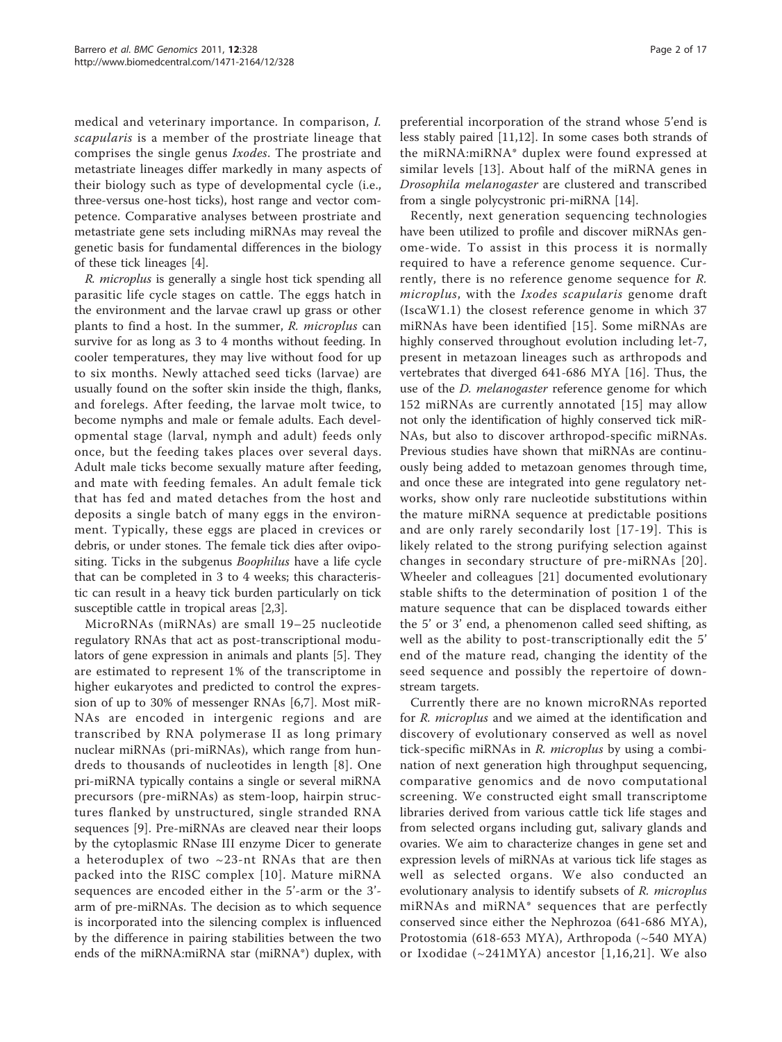medical and veterinary importance. In comparison, I. scapularis is a member of the prostriate lineage that comprises the single genus Ixodes. The prostriate and metastriate lineages differ markedly in many aspects of their biology such as type of developmental cycle (i.e., three-versus one-host ticks), host range and vector competence. Comparative analyses between prostriate and metastriate gene sets including miRNAs may reveal the genetic basis for fundamental differences in the biology of these tick lineages [[4\]](#page-15-0).

R. microplus is generally a single host tick spending all parasitic life cycle stages on cattle. The eggs hatch in the environment and the larvae crawl up grass or other plants to find a host. In the summer, R. microplus can survive for as long as 3 to 4 months without feeding. In cooler temperatures, they may live without food for up to six months. Newly attached seed ticks (larvae) are usually found on the softer skin inside the thigh, flanks, and forelegs. After feeding, the larvae molt twice, to become nymphs and male or female adults. Each developmental stage (larval, nymph and adult) feeds only once, but the feeding takes places over several days. Adult male ticks become sexually mature after feeding, and mate with feeding females. An adult female tick that has fed and mated detaches from the host and deposits a single batch of many eggs in the environment. Typically, these eggs are placed in crevices or debris, or under stones. The female tick dies after ovipositing. Ticks in the subgenus *Boophilus* have a life cycle that can be completed in 3 to 4 weeks; this characteristic can result in a heavy tick burden particularly on tick susceptible cattle in tropical areas [[2,3\]](#page-15-0).

MicroRNAs (miRNAs) are small 19–25 nucleotide regulatory RNAs that act as post-transcriptional modulators of gene expression in animals and plants [[5](#page-15-0)]. They are estimated to represent 1% of the transcriptome in higher eukaryotes and predicted to control the expression of up to 30% of messenger RNAs [[6,7](#page-15-0)]. Most miR-NAs are encoded in intergenic regions and are transcribed by RNA polymerase II as long primary nuclear miRNAs (pri-miRNAs), which range from hundreds to thousands of nucleotides in length [[8\]](#page-15-0). One pri-miRNA typically contains a single or several miRNA precursors (pre-miRNAs) as stem-loop, hairpin structures flanked by unstructured, single stranded RNA sequences [[9\]](#page-15-0). Pre-miRNAs are cleaved near their loops by the cytoplasmic RNase III enzyme Dicer to generate a heteroduplex of two  $\sim$ 23-nt RNAs that are then packed into the RISC complex [[10\]](#page-15-0). Mature miRNA sequences are encoded either in the 5'-arm or the 3' arm of pre-miRNAs. The decision as to which sequence is incorporated into the silencing complex is influenced by the difference in pairing stabilities between the two ends of the miRNA:miRNA star (miRNA\*) duplex, with Page 2 of 17

preferential incorporation of the strand whose 5'end is less stably paired [\[11](#page-15-0),[12\]](#page-15-0). In some cases both strands of the miRNA:miRNA\* duplex were found expressed at similar levels [[13\]](#page-15-0). About half of the miRNA genes in Drosophila melanogaster are clustered and transcribed from a single polycystronic pri-miRNA [\[14](#page-15-0)].

Recently, next generation sequencing technologies have been utilized to profile and discover miRNAs genome-wide. To assist in this process it is normally required to have a reference genome sequence. Currently, there is no reference genome sequence for R. microplus, with the Ixodes scapularis genome draft (IscaW1.1) the closest reference genome in which 37 miRNAs have been identified [[15](#page-15-0)]. Some miRNAs are highly conserved throughout evolution including let-7, present in metazoan lineages such as arthropods and vertebrates that diverged 641-686 MYA [\[16](#page-15-0)]. Thus, the use of the *D. melanogaster* reference genome for which 152 miRNAs are currently annotated [\[15\]](#page-15-0) may allow not only the identification of highly conserved tick miR-NAs, but also to discover arthropod-specific miRNAs. Previous studies have shown that miRNAs are continuously being added to metazoan genomes through time, and once these are integrated into gene regulatory networks, show only rare nucleotide substitutions within the mature miRNA sequence at predictable positions and are only rarely secondarily lost [[17](#page-15-0)-[19](#page-15-0)]. This is likely related to the strong purifying selection against changes in secondary structure of pre-miRNAs [\[20\]](#page-15-0). Wheeler and colleagues [\[21](#page-15-0)] documented evolutionary stable shifts to the determination of position 1 of the mature sequence that can be displaced towards either the 5' or 3' end, a phenomenon called seed shifting, as well as the ability to post-transcriptionally edit the 5' end of the mature read, changing the identity of the seed sequence and possibly the repertoire of downstream targets.

Currently there are no known microRNAs reported for R. microplus and we aimed at the identification and discovery of evolutionary conserved as well as novel tick-specific miRNAs in R. microplus by using a combination of next generation high throughput sequencing, comparative genomics and de novo computational screening. We constructed eight small transcriptome libraries derived from various cattle tick life stages and from selected organs including gut, salivary glands and ovaries. We aim to characterize changes in gene set and expression levels of miRNAs at various tick life stages as well as selected organs. We also conducted an evolutionary analysis to identify subsets of R. microplus miRNAs and miRNA\* sequences that are perfectly conserved since either the Nephrozoa (641-686 MYA), Protostomia (618-653 MYA), Arthropoda (~540 MYA) or Ixodidae  $(\sim 241MYA)$  ancestor [[1,16,21\]](#page-15-0). We also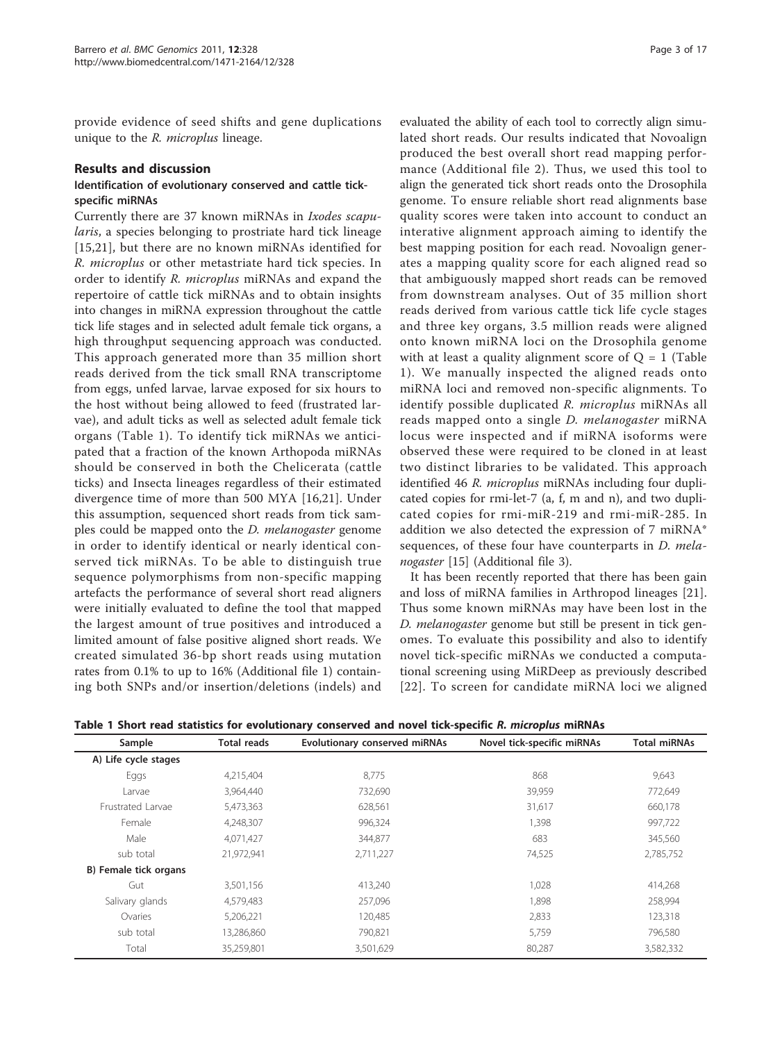<span id="page-2-0"></span>provide evidence of seed shifts and gene duplications unique to the *R. microplus* lineage.

#### Results and discussion

#### Identification of evolutionary conserved and cattle tickspecific miRNAs

Currently there are 37 known miRNAs in Ixodes scapularis, a species belonging to prostriate hard tick lineage [[15,21](#page-15-0)], but there are no known miRNAs identified for R. microplus or other metastriate hard tick species. In order to identify R. microplus miRNAs and expand the repertoire of cattle tick miRNAs and to obtain insights into changes in miRNA expression throughout the cattle tick life stages and in selected adult female tick organs, a high throughput sequencing approach was conducted. This approach generated more than 35 million short reads derived from the tick small RNA transcriptome from eggs, unfed larvae, larvae exposed for six hours to the host without being allowed to feed (frustrated larvae), and adult ticks as well as selected adult female tick organs (Table 1). To identify tick miRNAs we anticipated that a fraction of the known Arthopoda miRNAs should be conserved in both the Chelicerata (cattle ticks) and Insecta lineages regardless of their estimated divergence time of more than 500 MYA [[16,21](#page-15-0)]. Under this assumption, sequenced short reads from tick samples could be mapped onto the *D. melanogaster* genome in order to identify identical or nearly identical conserved tick miRNAs. To be able to distinguish true sequence polymorphisms from non-specific mapping artefacts the performance of several short read aligners were initially evaluated to define the tool that mapped the largest amount of true positives and introduced a limited amount of false positive aligned short reads. We created simulated 36-bp short reads using mutation rates from 0.1% to up to 16% (Additional file [1](#page-14-0)) containing both SNPs and/or insertion/deletions (indels) and

evaluated the ability of each tool to correctly align simulated short reads. Our results indicated that Novoalign produced the best overall short read mapping performance (Additional file [2\)](#page-14-0). Thus, we used this tool to align the generated tick short reads onto the Drosophila genome. To ensure reliable short read alignments base quality scores were taken into account to conduct an interative alignment approach aiming to identify the best mapping position for each read. Novoalign generates a mapping quality score for each aligned read so that ambiguously mapped short reads can be removed from downstream analyses. Out of 35 million short reads derived from various cattle tick life cycle stages and three key organs, 3.5 million reads were aligned onto known miRNA loci on the Drosophila genome with at least a quality alignment score of  $Q = 1$  (Table 1). We manually inspected the aligned reads onto miRNA loci and removed non-specific alignments. To identify possible duplicated R. microplus miRNAs all reads mapped onto a single D. melanogaster miRNA locus were inspected and if miRNA isoforms were observed these were required to be cloned in at least two distinct libraries to be validated. This approach identified 46 R. microplus miRNAs including four duplicated copies for rmi-let-7 (a, f, m and n), and two duplicated copies for rmi-miR-219 and rmi-miR-285. In addition we also detected the expression of 7 miRNA\* sequences, of these four have counterparts in *D. mela-*nogaster [[15](#page-15-0)] (Additional file [3\)](#page-14-0).

It has been recently reported that there has been gain and loss of miRNA families in Arthropod lineages [\[21](#page-15-0)]. Thus some known miRNAs may have been lost in the D. melanogaster genome but still be present in tick genomes. To evaluate this possibility and also to identify novel tick-specific miRNAs we conducted a computational screening using MiRDeep as previously described [[22\]](#page-15-0). To screen for candidate miRNA loci we aligned

Table 1 Short read statistics for evolutionary conserved and novel tick-specific R. microplus miRNAs

| <b>Total reads</b><br>Sample |            | Evolutionary conserved miRNAs | Novel tick-specific miRNAs | <b>Total miRNAs</b> |  |  |
|------------------------------|------------|-------------------------------|----------------------------|---------------------|--|--|
| A) Life cycle stages         |            |                               |                            |                     |  |  |
| Eggs                         | 4,215,404  | 8,775                         | 868                        | 9,643               |  |  |
| Larvae                       | 3,964,440  | 732,690                       | 39,959                     | 772,649             |  |  |
| Frustrated Larvae            | 5,473,363  | 628,561                       | 31,617                     | 660,178             |  |  |
| Female                       | 4,248,307  | 996,324                       | 1,398                      | 997,722             |  |  |
| Male                         | 4,071,427  | 344.877                       | 683                        | 345,560             |  |  |
| sub total                    | 21,972,941 | 2,711,227                     | 74,525                     | 2,785,752           |  |  |
| B) Female tick organs        |            |                               |                            |                     |  |  |
| Gut                          | 3,501,156  | 413.240                       | 1,028                      | 414,268             |  |  |
| Salivary glands              | 4,579,483  | 257,096                       | 1,898                      | 258,994             |  |  |
| Ovaries                      | 5,206,221  | 120,485                       | 2,833                      | 123,318             |  |  |
| sub total                    | 13,286,860 | 790.821                       | 5,759                      | 796,580             |  |  |
| Total                        | 35,259,801 | 3,501,629                     | 80,287                     | 3,582,332           |  |  |
|                              |            |                               |                            |                     |  |  |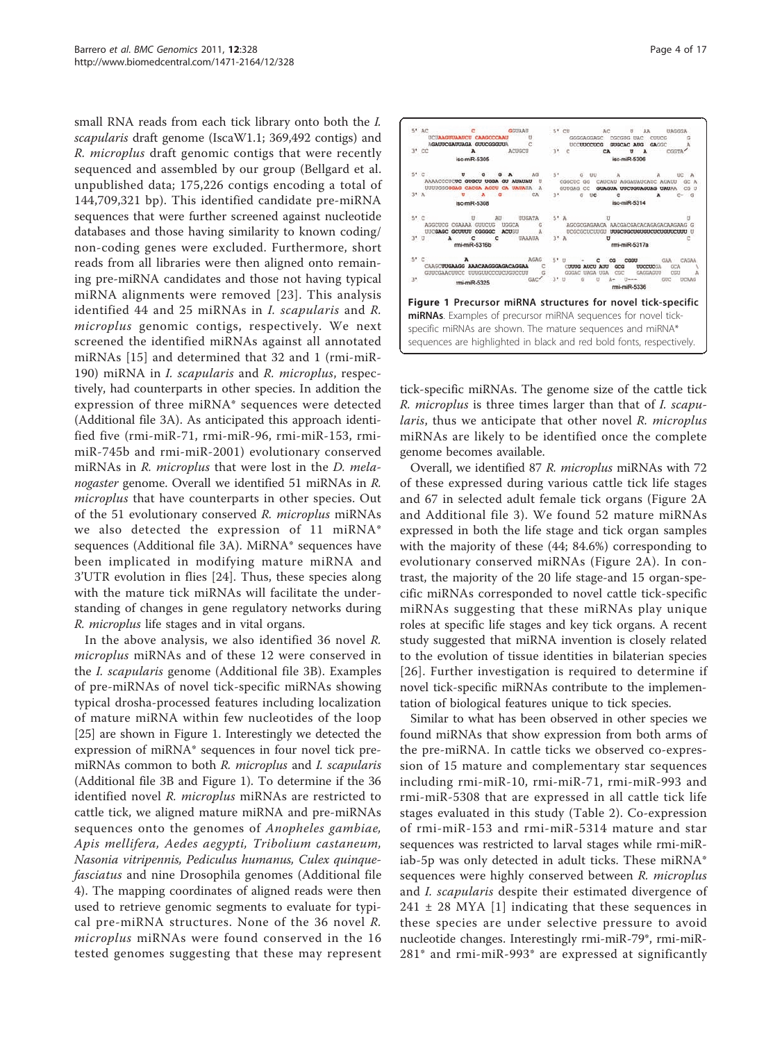small RNA reads from each tick library onto both the I. scapularis draft genome (IscaW1.1; 369,492 contigs) and R. microplus draft genomic contigs that were recently sequenced and assembled by our group (Bellgard et al. unpublished data; 175,226 contigs encoding a total of 144,709,321 bp). This identified candidate pre-miRNA sequences that were further screened against nucleotide databases and those having similarity to known coding/ non-coding genes were excluded. Furthermore, short reads from all libraries were then aligned onto remaining pre-miRNA candidates and those not having typical miRNA alignments were removed [[23](#page-16-0)]. This analysis identified 44 and 25 miRNAs in I. scapularis and R. microplus genomic contigs, respectively. We next screened the identified miRNAs against all annotated miRNAs [\[15](#page-15-0)] and determined that 32 and 1 (rmi-miR-190) miRNA in *I. scapularis* and *R. microplus*, respectively, had counterparts in other species. In addition the expression of three miRNA\* sequences were detected (Additional file [3A\)](#page-14-0). As anticipated this approach identified five (rmi-miR-71, rmi-miR-96, rmi-miR-153, rmimiR-745b and rmi-miR-2001) evolutionary conserved miRNAs in R. *microplus* that were lost in the *D. mela*nogaster genome. Overall we identified 51 miRNAs in R. *microplus* that have counterparts in other species. Out of the 51 evolutionary conserved R. microplus miRNAs we also detected the expression of 11 miRNA\* sequences (Additional file [3A](#page-14-0)). MiRNA\* sequences have been implicated in modifying mature miRNA and 3'UTR evolution in flies [\[24\]](#page-16-0). Thus, these species along with the mature tick miRNAs will facilitate the understanding of changes in gene regulatory networks during R. microplus life stages and in vital organs.

In the above analysis, we also identified 36 novel R. microplus miRNAs and of these 12 were conserved in the I. scapularis genome (Additional file [3B](#page-14-0)). Examples of pre-miRNAs of novel tick-specific miRNAs showing typical drosha-processed features including localization of mature miRNA within few nucleotides of the loop [[25\]](#page-16-0) are shown in Figure 1. Interestingly we detected the expression of miRNA\* sequences in four novel tick premiRNAs common to both R. microplus and I. scapularis (Additional file [3B](#page-14-0) and Figure 1). To determine if the 36 identified novel R. microplus miRNAs are restricted to cattle tick, we aligned mature miRNA and pre-miRNAs sequences onto the genomes of Anopheles gambiae, Apis mellifera, Aedes aegypti, Tribolium castaneum, Nasonia vitripennis, Pediculus humanus, Culex quinquefasciatus and nine Drosophila genomes (Additional file [4\)](#page-14-0). The mapping coordinates of aligned reads were then used to retrieve genomic segments to evaluate for typical pre-miRNA structures. None of the 36 novel R. microplus miRNAs were found conserved in the 16 tested genomes suggesting that these may represent





tick-specific miRNAs. The genome size of the cattle tick R. microplus is three times larger than that of I. scapularis, thus we anticipate that other novel R. microplus miRNAs are likely to be identified once the complete genome becomes available.

Overall, we identified 87 R. microplus miRNAs with 72 of these expressed during various cattle tick life stages and 67 in selected adult female tick organs (Figure [2A](#page-4-0) and Additional file [3\)](#page-14-0). We found 52 mature miRNAs expressed in both the life stage and tick organ samples with the majority of these (44; 84.6%) corresponding to evolutionary conserved miRNAs (Figure [2A\)](#page-4-0). In contrast, the majority of the 20 life stage-and 15 organ-specific miRNAs corresponded to novel cattle tick-specific miRNAs suggesting that these miRNAs play unique roles at specific life stages and key tick organs. A recent study suggested that miRNA invention is closely related to the evolution of tissue identities in bilaterian species [[26\]](#page-16-0). Further investigation is required to determine if novel tick-specific miRNAs contribute to the implementation of biological features unique to tick species.

Similar to what has been observed in other species we found miRNAs that show expression from both arms of the pre-miRNA. In cattle ticks we observed co-expression of 15 mature and complementary star sequences including rmi-miR-10, rmi-miR-71, rmi-miR-993 and rmi-miR-5308 that are expressed in all cattle tick life stages evaluated in this study (Table [2](#page-5-0)). Co-expression of rmi-miR-153 and rmi-miR-5314 mature and star sequences was restricted to larval stages while rmi-miRiab-5p was only detected in adult ticks. These miRNA\* sequences were highly conserved between R. microplus and I. scapularis despite their estimated divergence of  $241 \pm 28$  MYA [\[1\]](#page-15-0) indicating that these sequences in these species are under selective pressure to avoid nucleotide changes. Interestingly rmi-miR-79\*, rmi-miR-281\* and rmi-miR-993\* are expressed at significantly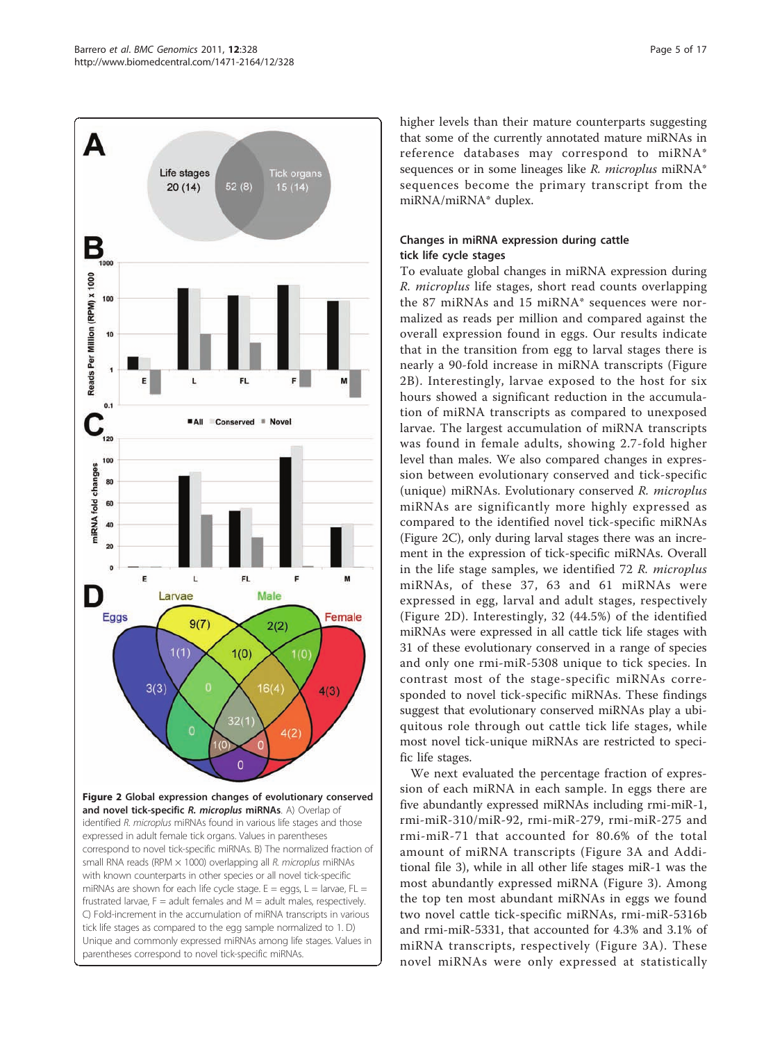<span id="page-4-0"></span>

higher levels than their mature counterparts suggesting that some of the currently annotated mature miRNAs in reference databases may correspond to miRNA\* sequences or in some lineages like R. microplus miRNA\* sequences become the primary transcript from the miRNA/miRNA\* duplex.

## Changes in miRNA expression during cattle tick life cycle stages

To evaluate global changes in miRNA expression during R. microplus life stages, short read counts overlapping the 87 miRNAs and 15 miRNA\* sequences were normalized as reads per million and compared against the overall expression found in eggs. Our results indicate that in the transition from egg to larval stages there is nearly a 90-fold increase in miRNA transcripts (Figure 2B). Interestingly, larvae exposed to the host for six hours showed a significant reduction in the accumulation of miRNA transcripts as compared to unexposed larvae. The largest accumulation of miRNA transcripts was found in female adults, showing 2.7-fold higher level than males. We also compared changes in expression between evolutionary conserved and tick-specific (unique) miRNAs. Evolutionary conserved R. microplus miRNAs are significantly more highly expressed as compared to the identified novel tick-specific miRNAs (Figure 2C), only during larval stages there was an increment in the expression of tick-specific miRNAs. Overall in the life stage samples, we identified 72 R. microplus miRNAs, of these 37, 63 and 61 miRNAs were expressed in egg, larval and adult stages, respectively (Figure 2D). Interestingly, 32 (44.5%) of the identified miRNAs were expressed in all cattle tick life stages with 31 of these evolutionary conserved in a range of species and only one rmi-miR-5308 unique to tick species. In contrast most of the stage-specific miRNAs corresponded to novel tick-specific miRNAs. These findings suggest that evolutionary conserved miRNAs play a ubiquitous role through out cattle tick life stages, while most novel tick-unique miRNAs are restricted to specific life stages.

We next evaluated the percentage fraction of expression of each miRNA in each sample. In eggs there are five abundantly expressed miRNAs including rmi-miR-1, rmi-miR-310/miR-92, rmi-miR-279, rmi-miR-275 and rmi-miR-71 that accounted for 80.6% of the total amount of miRNA transcripts (Figure [3A](#page-6-0) and Additional file [3](#page-14-0)), while in all other life stages miR-1 was the most abundantly expressed miRNA (Figure [3](#page-6-0)). Among the top ten most abundant miRNAs in eggs we found two novel cattle tick-specific miRNAs, rmi-miR-5316b and rmi-miR-5331, that accounted for 4.3% and 3.1% of miRNA transcripts, respectively (Figure [3A](#page-6-0)). These novel miRNAs were only expressed at statistically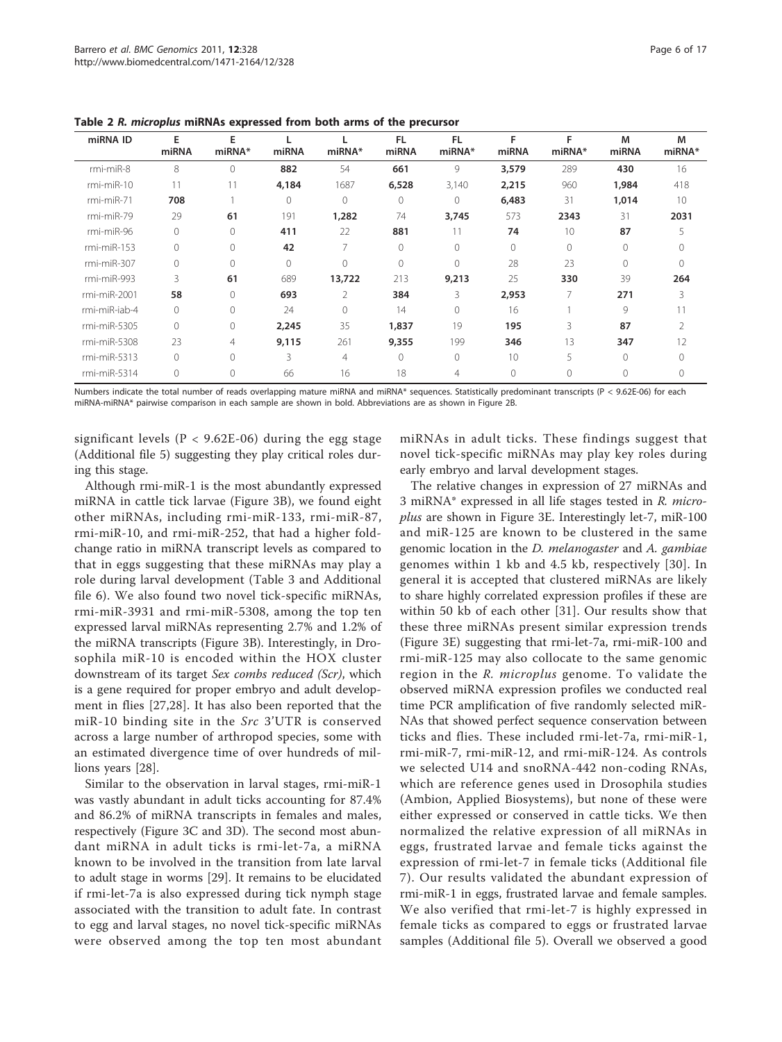| miRNA ID       | E<br>miRNA  | F<br>miRNA*    | miRNA    | miRNA* | <b>FL</b><br>miRNA | FL<br>miRNA*   | F<br>miRNA | F<br>miRNA* | M<br>miRNA | M<br>miRNA*    |
|----------------|-------------|----------------|----------|--------|--------------------|----------------|------------|-------------|------------|----------------|
| rmi-miR-8      | 8           | $\bigcap$      | 882      | 54     | 661                | 9              | 3,579      | 289         | 430        | 16             |
| $rmi-miR-10$   | 11          | 11             | 4,184    | 1687   | 6,528              | 3,140          | 2,215      | 960         | 1,984      | 418            |
| $rmi-miR-71$   | 708         |                | 0        | 0      | $\overline{0}$     | $\overline{0}$ | 6,483      | 31          | 1,014      | 10             |
| $rmi-miR-79$   | 29          | 61             | 191      | 1,282  | 74                 | 3,745          | 573        | 2343        | 31         | 2031           |
| $rmi-miR-96$   | 0           | $\Omega$       | 411      | 22     | 881                | 11             | 74         | 10          | 87         | 5              |
| $rmi-miR-153$  | $\mathbf 0$ | $\Omega$       | 42       | 7      | 0                  | $\Omega$       | 0          | 0           | $\Omega$   |                |
| rmi-miR-307    | $\mathbf 0$ | $\Omega$       | $\Omega$ | 0      | $\Omega$           | $\Omega$       | 28         | 23          | $\Omega$   | $\Omega$       |
| rmi-miR-993    | 3           | 61             | 689      | 13,722 | 213                | 9,213          | 25         | 330         | 39         | 264            |
| rmi-miR-2001   | 58          | $\Omega$       | 693      | 2      | 384                | 3              | 2,953      | 7           | 271        | 3              |
| rmi-miR-iab-4  | 0           | $\Omega$       | 24       | 0      | 14                 | $\Omega$       | 16         |             | 9          | 11             |
| $rmi-miR-5305$ | 0           | $\Omega$       | 2,245    | 35     | 1,837              | 19             | 195        | 3           | 87         | $\mathfrak{D}$ |
| rmi-miR-5308   | 23          | $\overline{4}$ | 9,115    | 261    | 9,355              | 199            | 346        | 13          | 347        | 12             |
| $rmi-miR-5313$ | 0           | $\Omega$       | 3        | 4      | $\Omega$           | $\Omega$       | 10         | 5           | $\Omega$   | 0              |
| rmi-miR-5314   | 0           | $\Omega$       | 66       | 16     | 18                 | 4              | $\Omega$   |             | $\Omega$   |                |
|                |             |                |          |        |                    |                |            |             |            |                |

<span id="page-5-0"></span>Table 2 R. microplus miRNAs expressed from both arms of the precursor

Numbers indicate the total number of reads overlapping mature miRNA and miRNA\* sequences. Statistically predominant transcripts (P < 9.62E-06) for each miRNA-miRNA\* pairwise comparison in each sample are shown in bold. Abbreviations are as shown in Figure 2B.

significant levels ( $P < 9.62E-06$ ) during the egg stage (Additional file [5\)](#page-14-0) suggesting they play critical roles during this stage.

Although rmi-miR-1 is the most abundantly expressed miRNA in cattle tick larvae (Figure [3B\)](#page-6-0), we found eight other miRNAs, including rmi-miR-133, rmi-miR-87, rmi-miR-10, and rmi-miR-252, that had a higher foldchange ratio in miRNA transcript levels as compared to that in eggs suggesting that these miRNAs may play a role during larval development (Table [3](#page-7-0) and Additional file [6](#page-14-0)). We also found two novel tick-specific miRNAs, rmi-miR-3931 and rmi-miR-5308, among the top ten expressed larval miRNAs representing 2.7% and 1.2% of the miRNA transcripts (Figure [3B\)](#page-6-0). Interestingly, in Drosophila miR-10 is encoded within the HOX cluster downstream of its target Sex combs reduced (Scr), which is a gene required for proper embryo and adult development in flies [[27,28](#page-16-0)]. It has also been reported that the miR-10 binding site in the Src 3'UTR is conserved across a large number of arthropod species, some with an estimated divergence time of over hundreds of millions years [\[28\]](#page-16-0).

Similar to the observation in larval stages, rmi-miR-1 was vastly abundant in adult ticks accounting for 87.4% and 86.2% of miRNA transcripts in females and males, respectively (Figure [3C](#page-6-0) and [3D](#page-6-0)). The second most abundant miRNA in adult ticks is rmi-let-7a, a miRNA known to be involved in the transition from late larval to adult stage in worms [\[29\]](#page-16-0). It remains to be elucidated if rmi-let-7a is also expressed during tick nymph stage associated with the transition to adult fate. In contrast to egg and larval stages, no novel tick-specific miRNAs were observed among the top ten most abundant miRNAs in adult ticks. These findings suggest that novel tick-specific miRNAs may play key roles during early embryo and larval development stages.

The relative changes in expression of 27 miRNAs and 3 miRNA\* expressed in all life stages tested in R. microplus are shown in Figure [3E](#page-6-0). Interestingly let-7, miR-100 and miR-125 are known to be clustered in the same genomic location in the D. melanogaster and A. gambiae genomes within 1 kb and 4.5 kb, respectively [[30](#page-16-0)]. In general it is accepted that clustered miRNAs are likely to share highly correlated expression profiles if these are within 50 kb of each other [[31](#page-16-0)]. Our results show that these three miRNAs present similar expression trends (Figure [3E\)](#page-6-0) suggesting that rmi-let-7a, rmi-miR-100 and rmi-miR-125 may also collocate to the same genomic region in the R. *microplus* genome. To validate the observed miRNA expression profiles we conducted real time PCR amplification of five randomly selected miR-NAs that showed perfect sequence conservation between ticks and flies. These included rmi-let-7a, rmi-miR-1, rmi-miR-7, rmi-miR-12, and rmi-miR-124. As controls we selected U14 and snoRNA-442 non-coding RNAs, which are reference genes used in Drosophila studies (Ambion, Applied Biosystems), but none of these were either expressed or conserved in cattle ticks. We then normalized the relative expression of all miRNAs in eggs, frustrated larvae and female ticks against the expression of rmi-let-7 in female ticks (Additional file [7](#page-14-0)). Our results validated the abundant expression of rmi-miR-1 in eggs, frustrated larvae and female samples. We also verified that rmi-let-7 is highly expressed in female ticks as compared to eggs or frustrated larvae samples (Additional file [5\)](#page-14-0). Overall we observed a good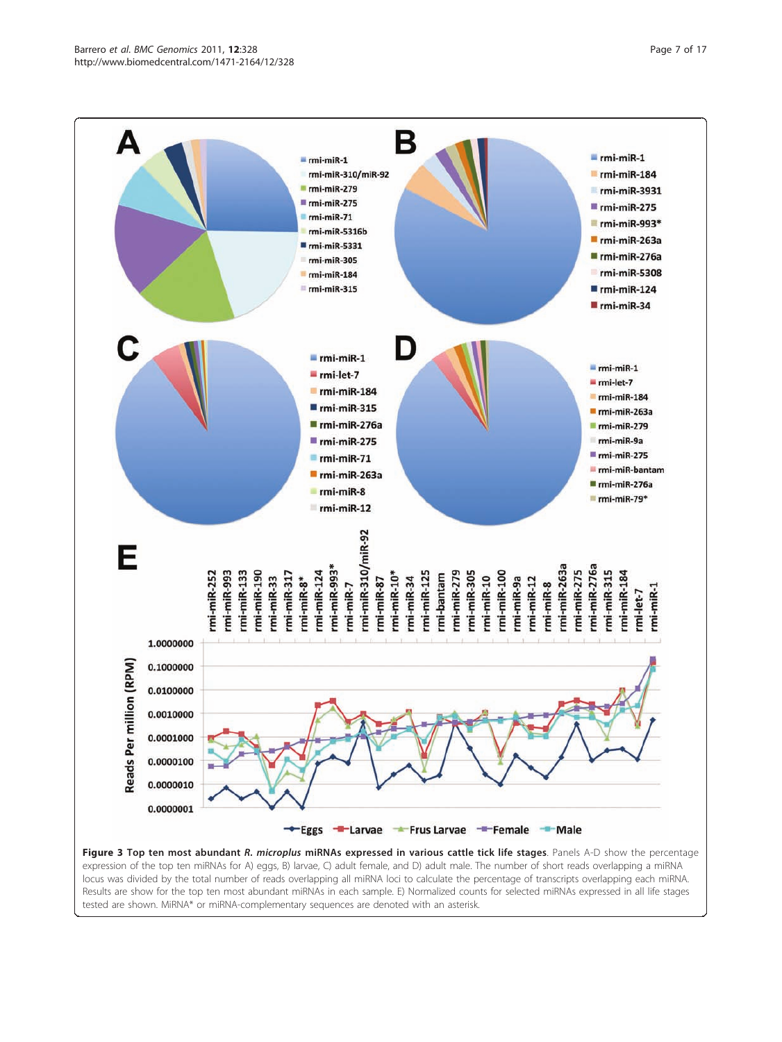<span id="page-6-0"></span>

locus was divided by the total number of reads overlapping all miRNA loci to calculate the percentage of transcripts overlapping each miRNA. Results are show for the top ten most abundant miRNAs in each sample. E) Normalized counts for selected miRNAs expressed in all life stages tested are shown. MiRNA\* or miRNA-complementary sequences are denoted with an asterisk.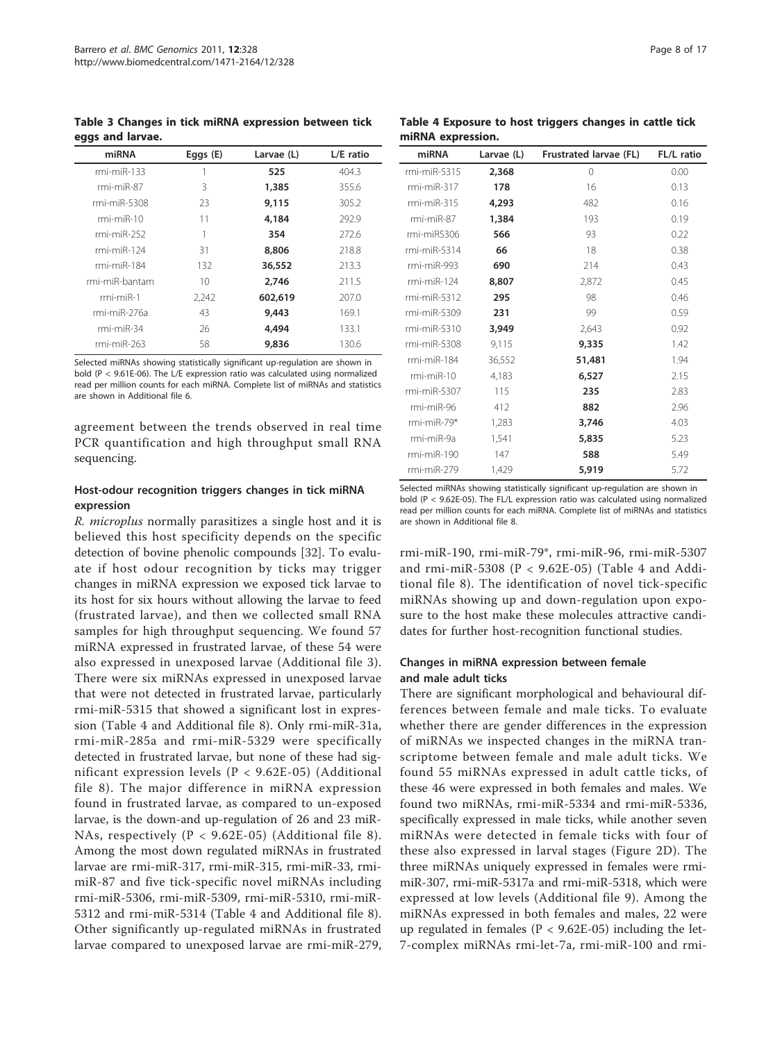<span id="page-7-0"></span>Table 3 Changes in tick miRNA expression between tick eggs and larvae.

| miRNA          | Eggs $(E)$ | Larvae (L) | L/E ratio |
|----------------|------------|------------|-----------|
| $rmi-miR-133$  |            | 525        | 404.3     |
| $rmi-miR-87$   | 3          | 1,385      | 355.6     |
| $rmi-miR-5308$ | 23         | 9,115      | 305.2     |
| $rmi-miR-10$   | 11         | 4,184      | 292.9     |
| $rmi-miR-252$  |            | 354        | 272.6     |
| $rmi-miR-124$  | 31         | 8,806      | 218.8     |
| $rmi-miR-184$  | 132        | 36,552     | 213.3     |
| rmi-miR-bantam | 10         | 2,746      | 211.5     |
| $rmi-miR-1$    | 2,242      | 602,619    | 207.0     |
| rmi-miR-276a   | 43         | 9,443      | 169.1     |
| $rmi-miR-34$   | 26         | 4.494      | 133.1     |
| $rmi-miR-263$  | 58         | 9,836      | 130.6     |

Selected miRNAs showing statistically significant up-regulation are shown in bold (P < 9.61E-06). The L/E expression ratio was calculated using normalized read per million counts for each miRNA. Complete list of miRNAs and statistics are shown in Additional file [6.](#page-14-0)

agreement between the trends observed in real time PCR quantification and high throughput small RNA sequencing.

#### Host-odour recognition triggers changes in tick miRNA expression

R. microplus normally parasitizes a single host and it is believed this host specificity depends on the specific detection of bovine phenolic compounds [\[32](#page-16-0)]. To evaluate if host odour recognition by ticks may trigger changes in miRNA expression we exposed tick larvae to its host for six hours without allowing the larvae to feed (frustrated larvae), and then we collected small RNA samples for high throughput sequencing. We found 57 miRNA expressed in frustrated larvae, of these 54 were also expressed in unexposed larvae (Additional file [3](#page-14-0)). There were six miRNAs expressed in unexposed larvae that were not detected in frustrated larvae, particularly rmi-miR-5315 that showed a significant lost in expression (Table 4 and Additional file [8\)](#page-14-0). Only rmi-miR-31a, rmi-miR-285a and rmi-miR-5329 were specifically detected in frustrated larvae, but none of these had significant expression levels ( $P < 9.62E-05$ ) (Additional file [8\)](#page-14-0). The major difference in miRNA expression found in frustrated larvae, as compared to un-exposed larvae, is the down-and up-regulation of 26 and 23 miR-NAs, respectively (P < 9.62E-05) (Additional file [8\)](#page-14-0). Among the most down regulated miRNAs in frustrated larvae are rmi-miR-317, rmi-miR-315, rmi-miR-33, rmimiR-87 and five tick-specific novel miRNAs including rmi-miR-5306, rmi-miR-5309, rmi-miR-5310, rmi-miR-5312 and rmi-miR-5314 (Table 4 and Additional file [8](#page-14-0)). Other significantly up-regulated miRNAs in frustrated larvae compared to unexposed larvae are rmi-miR-279,

Table 4 Exposure to host triggers changes in cattle tick miRNA expression.

| miRNA          | Larvae (L) | Frustrated larvae (FL) | FL/L ratio |
|----------------|------------|------------------------|------------|
| $rmi-miR-5315$ | 2,368      | 0                      | 0.00       |
| rmi-miR-317    | 178        | 16                     | 0.13       |
| rmi-miR-315    | 4,293      | 482                    | 0.16       |
| $rmi-miR-87$   | 1,384      | 193                    | 0.19       |
| rmi-miR5306    | 566        | 93                     | 0.22       |
| $rmi-miR-5314$ | 66         | 18                     | 0.38       |
| rmi-miR-993    | 690        | 214                    | 0.43       |
| rmi-miR-124    | 8,807      | 2,872                  | 0.45       |
| $rmi-miR-5312$ | 295        | 98                     | 0.46       |
| rmi-miR-5309   | 231        | 99                     | 0.59       |
| $rmi-miR-5310$ | 3,949      | 2,643                  | 0.92       |
| rmi-miR-5308   | 9,115      | 9,335                  | 1.42       |
| rmi-miR-184    | 36,552     | 51,481                 | 1.94       |
| $rmi-miR-10$   | 4,183      | 6,527                  | 2.15       |
| rmi-miR-5307   | 115        | 235                    | 2.83       |
| rmi-miR-96     | 412        | 882                    | 2.96       |
| $rmi-miR-79*$  | 1,283      | 3,746                  | 4.03       |
| rmi-miR-9a     | 1,541      | 5,835                  | 5.23       |
| rmi-miR-190    | 147        | 588                    | 5.49       |
| rmi-miR-279    | 1,429      | 5,919                  | 5.72       |

Selected miRNAs showing statistically significant up-regulation are shown in bold (P < 9.62E-05). The FL/L expression ratio was calculated using normalized read per million counts for each miRNA. Complete list of miRNAs and statistics are shown in Additional file [8.](#page-14-0)

rmi-miR-190, rmi-miR-79\*, rmi-miR-96, rmi-miR-5307 and rmi-miR-5308 ( $P < 9.62E-05$ ) (Table 4 and Additional file [8\)](#page-14-0). The identification of novel tick-specific miRNAs showing up and down-regulation upon exposure to the host make these molecules attractive candidates for further host-recognition functional studies.

#### Changes in miRNA expression between female and male adult ticks

There are significant morphological and behavioural differences between female and male ticks. To evaluate whether there are gender differences in the expression of miRNAs we inspected changes in the miRNA transcriptome between female and male adult ticks. We found 55 miRNAs expressed in adult cattle ticks, of these 46 were expressed in both females and males. We found two miRNAs, rmi-miR-5334 and rmi-miR-5336, specifically expressed in male ticks, while another seven miRNAs were detected in female ticks with four of these also expressed in larval stages (Figure [2D](#page-4-0)). The three miRNAs uniquely expressed in females were rmimiR-307, rmi-miR-5317a and rmi-miR-5318, which were expressed at low levels (Additional file [9](#page-14-0)). Among the miRNAs expressed in both females and males, 22 were up regulated in females ( $P < 9.62E-05$ ) including the let-7-complex miRNAs rmi-let-7a, rmi-miR-100 and rmi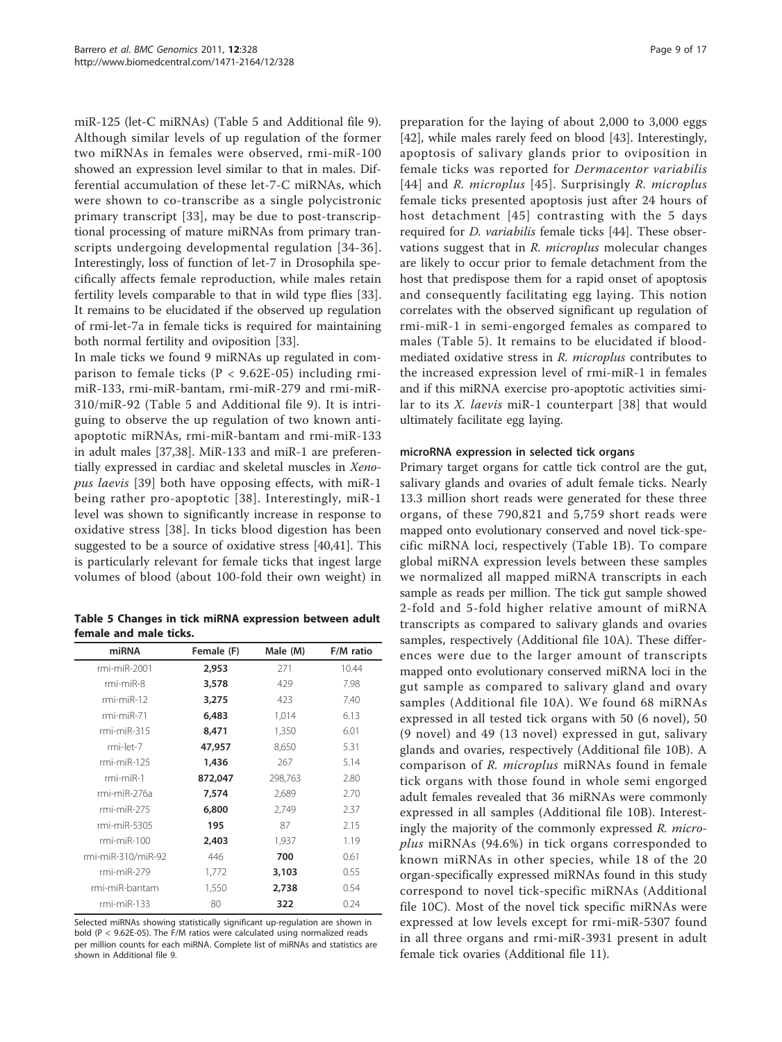miR-125 (let-C miRNAs) (Table 5 and Additional file [9](#page-14-0)). Although similar levels of up regulation of the former two miRNAs in females were observed, rmi-miR-100 showed an expression level similar to that in males. Differential accumulation of these let-7-C miRNAs, which were shown to co-transcribe as a single polycistronic primary transcript [[33](#page-16-0)], may be due to post-transcriptional processing of mature miRNAs from primary transcripts undergoing developmental regulation [[34-36\]](#page-16-0). Interestingly, loss of function of let-7 in Drosophila specifically affects female reproduction, while males retain fertility levels comparable to that in wild type flies [\[33](#page-16-0)]. It remains to be elucidated if the observed up regulation of rmi-let-7a in female ticks is required for maintaining both normal fertility and oviposition [[33\]](#page-16-0).

In male ticks we found 9 miRNAs up regulated in comparison to female ticks ( $P < 9.62E-05$ ) including rmimiR-133, rmi-miR-bantam, rmi-miR-279 and rmi-miR-310/miR-92 (Table 5 and Additional file [9\)](#page-14-0). It is intriguing to observe the up regulation of two known antiapoptotic miRNAs, rmi-miR-bantam and rmi-miR-133 in adult males [\[37,38](#page-16-0)]. MiR-133 and miR-1 are preferentially expressed in cardiac and skeletal muscles in Xenopus laevis [\[39](#page-16-0)] both have opposing effects, with miR-1 being rather pro-apoptotic [[38\]](#page-16-0). Interestingly, miR-1 level was shown to significantly increase in response to oxidative stress [[38](#page-16-0)]. In ticks blood digestion has been suggested to be a source of oxidative stress [[40,41\]](#page-16-0). This is particularly relevant for female ticks that ingest large volumes of blood (about 100-fold their own weight) in

Table 5 Changes in tick miRNA expression between adult female and male ticks.

| miRNA              | Female (F) | Male (M) | F/M ratio |
|--------------------|------------|----------|-----------|
| rmi-miR-2001       | 2,953      | 271      | 10.44     |
| $rmi-miR-8$        | 3,578      | 429      | 7.98      |
| $rmi-miR-12$       | 3,275      | 423      | 7.40      |
| $rmi-miR-71$       | 6,483      | 1,014    | 6.13      |
| $rmi-miR-315$      | 8,471      | 1,350    | 6.01      |
| rmi-let-7          | 47,957     | 8,650    | 5.31      |
| $rmi-miR-125$      | 1,436      | 267      | 5.14      |
| $rmi-miR-1$        | 872,047    | 298,763  | 2.80      |
| rmi-miR-276a       | 7,574      | 2,689    | 2.70      |
| $rmi-miR-275$      | 6,800      | 2,749    | 2.37      |
| rmi-miR-5305       | 195        | 87       | 2.15      |
| $rmi-miR-100$      | 2,403      | 1,937    | 1.19      |
| rmi-miR-310/miR-92 | 446        | 700      | 0.61      |
| $rmi-miR-279$      | 1,772      | 3,103    | 0.55      |
| rmi-miR-bantam     | 1,550      | 2,738    | 0.54      |
| $rmi-miR-133$      | 80         | 322      | 0.24      |

Selected miRNAs showing statistically significant up-regulation are shown in bold (P < 9.62E-05). The F/M ratios were calculated using normalized reads per million counts for each miRNA. Complete list of miRNAs and statistics are shown in Additional file [9](#page-14-0).

preparation for the laying of about 2,000 to 3,000 eggs [[42\]](#page-16-0), while males rarely feed on blood [\[43](#page-16-0)]. Interestingly, apoptosis of salivary glands prior to oviposition in female ticks was reported for Dermacentor variabilis [[44\]](#page-16-0) and R. microplus [[45\]](#page-16-0). Surprisingly R. microplus female ticks presented apoptosis just after 24 hours of host detachment [[45\]](#page-16-0) contrasting with the 5 days required for D. variabilis female ticks [[44\]](#page-16-0). These observations suggest that in R. microplus molecular changes are likely to occur prior to female detachment from the host that predispose them for a rapid onset of apoptosis and consequently facilitating egg laying. This notion correlates with the observed significant up regulation of rmi-miR-1 in semi-engorged females as compared to males (Table 5). It remains to be elucidated if bloodmediated oxidative stress in R. microplus contributes to the increased expression level of rmi-miR-1 in females and if this miRNA exercise pro-apoptotic activities similar to its X. laevis miR-1 counterpart [\[38\]](#page-16-0) that would ultimately facilitate egg laying.

#### microRNA expression in selected tick organs

Primary target organs for cattle tick control are the gut, salivary glands and ovaries of adult female ticks. Nearly 13.3 million short reads were generated for these three organs, of these 790,821 and 5,759 short reads were mapped onto evolutionary conserved and novel tick-specific miRNA loci, respectively (Table [1B\)](#page-2-0). To compare global miRNA expression levels between these samples we normalized all mapped miRNA transcripts in each sample as reads per million. The tick gut sample showed 2-fold and 5-fold higher relative amount of miRNA transcripts as compared to salivary glands and ovaries samples, respectively (Additional file [10A\)](#page-15-0). These differences were due to the larger amount of transcripts mapped onto evolutionary conserved miRNA loci in the gut sample as compared to salivary gland and ovary samples (Additional file [10A](#page-15-0)). We found 68 miRNAs expressed in all tested tick organs with 50 (6 novel), 50 (9 novel) and 49 (13 novel) expressed in gut, salivary glands and ovaries, respectively (Additional file [10B\)](#page-15-0). A comparison of R. microplus miRNAs found in female tick organs with those found in whole semi engorged adult females revealed that 36 miRNAs were commonly expressed in all samples (Additional file [10B\)](#page-15-0). Interestingly the majority of the commonly expressed R. microplus miRNAs (94.6%) in tick organs corresponded to known miRNAs in other species, while 18 of the 20 organ-specifically expressed miRNAs found in this study correspond to novel tick-specific miRNAs (Additional file [10C\)](#page-15-0). Most of the novel tick specific miRNAs were expressed at low levels except for rmi-miR-5307 found in all three organs and rmi-miR-3931 present in adult female tick ovaries (Additional file [11](#page-15-0)).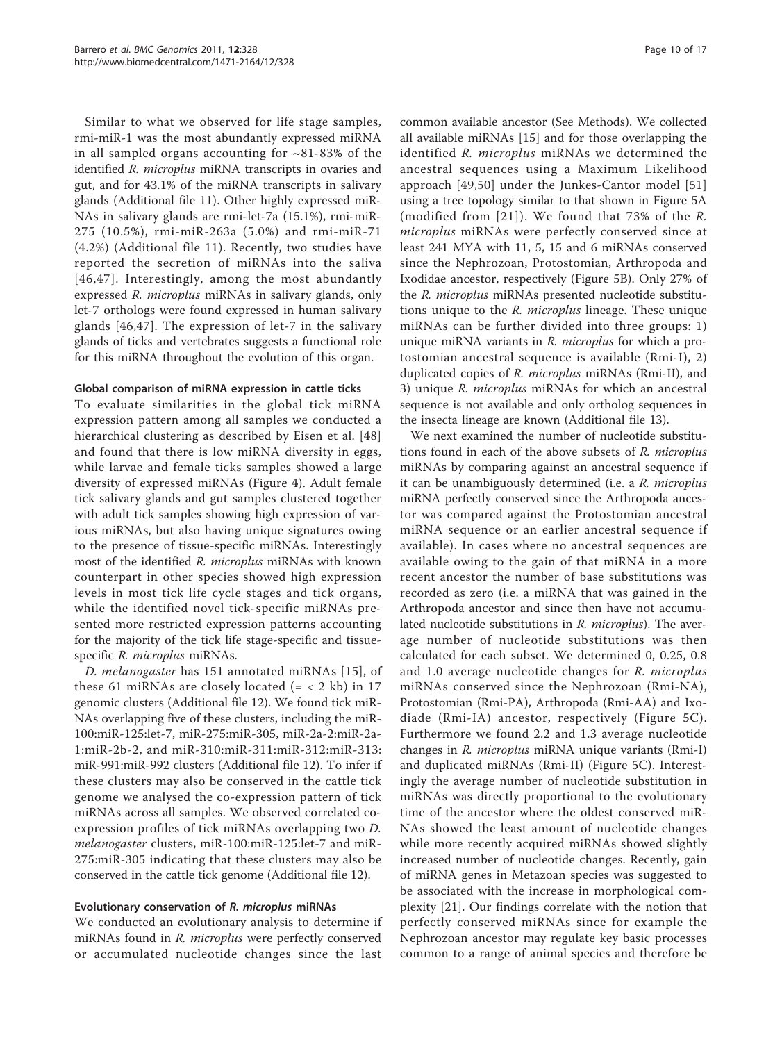Similar to what we observed for life stage samples, rmi-miR-1 was the most abundantly expressed miRNA in all sampled organs accounting for  $~81-83\%$  of the identified R. microplus miRNA transcripts in ovaries and gut, and for 43.1% of the miRNA transcripts in salivary glands (Additional file [11](#page-15-0)). Other highly expressed miR-NAs in salivary glands are rmi-let-7a (15.1%), rmi-miR-275 (10.5%), rmi-miR-263a (5.0%) and rmi-miR-71 (4.2%) (Additional file [11\)](#page-15-0). Recently, two studies have reported the secretion of miRNAs into the saliva [[46](#page-16-0),[47](#page-16-0)]. Interestingly, among the most abundantly expressed R. microplus miRNAs in salivary glands, only let-7 orthologs were found expressed in human salivary glands [\[46,47](#page-16-0)]. The expression of let-7 in the salivary glands of ticks and vertebrates suggests a functional role for this miRNA throughout the evolution of this organ.

#### Global comparison of miRNA expression in cattle ticks

To evaluate similarities in the global tick miRNA expression pattern among all samples we conducted a hierarchical clustering as described by Eisen et al. [\[48](#page-16-0)] and found that there is low miRNA diversity in eggs, while larvae and female ticks samples showed a large diversity of expressed miRNAs (Figure [4](#page-10-0)). Adult female tick salivary glands and gut samples clustered together with adult tick samples showing high expression of various miRNAs, but also having unique signatures owing to the presence of tissue-specific miRNAs. Interestingly most of the identified R. microplus miRNAs with known counterpart in other species showed high expression levels in most tick life cycle stages and tick organs, while the identified novel tick-specific miRNAs presented more restricted expression patterns accounting for the majority of the tick life stage-specific and tissuespecific R. microplus miRNAs.

D. melanogaster has 151 annotated miRNAs [[15](#page-15-0)], of these 61 miRNAs are closely located  $(= < 2 \text{ kb})$  in 17 genomic clusters (Additional file [12](#page-15-0)). We found tick miR-NAs overlapping five of these clusters, including the miR-100:miR-125:let-7, miR-275:miR-305, miR-2a-2:miR-2a-1:miR-2b-2, and miR-310:miR-311:miR-312:miR-313: miR-991:miR-992 clusters (Additional file [12\)](#page-15-0). To infer if these clusters may also be conserved in the cattle tick genome we analysed the co-expression pattern of tick miRNAs across all samples. We observed correlated coexpression profiles of tick miRNAs overlapping two D. melanogaster clusters, miR-100:miR-125:let-7 and miR-275:miR-305 indicating that these clusters may also be conserved in the cattle tick genome (Additional file [12](#page-15-0)).

#### Evolutionary conservation of R. microplus miRNAs

We conducted an evolutionary analysis to determine if miRNAs found in R. microplus were perfectly conserved or accumulated nucleotide changes since the last common available ancestor (See Methods). We collected all available miRNAs [\[15](#page-15-0)] and for those overlapping the identified R. microplus miRNAs we determined the ancestral sequences using a Maximum Likelihood approach [[49](#page-16-0),[50\]](#page-16-0) under the Junkes-Cantor model [[51](#page-16-0)] using a tree topology similar to that shown in Figure [5A](#page-11-0) (modified from [[21](#page-15-0)]). We found that 73% of the R. microplus miRNAs were perfectly conserved since at least 241 MYA with 11, 5, 15 and 6 miRNAs conserved since the Nephrozoan, Protostomian, Arthropoda and Ixodidae ancestor, respectively (Figure [5B](#page-11-0)). Only 27% of the R. microplus miRNAs presented nucleotide substitutions unique to the R. microplus lineage. These unique miRNAs can be further divided into three groups: 1) unique miRNA variants in R. microplus for which a protostomian ancestral sequence is available (Rmi-I), 2) duplicated copies of R. microplus miRNAs (Rmi-II), and 3) unique R. microplus miRNAs for which an ancestral sequence is not available and only ortholog sequences in the insecta lineage are known (Additional file [13\)](#page-15-0).

We next examined the number of nucleotide substitutions found in each of the above subsets of R. microplus miRNAs by comparing against an ancestral sequence if it can be unambiguously determined (i.e. a R. microplus miRNA perfectly conserved since the Arthropoda ancestor was compared against the Protostomian ancestral miRNA sequence or an earlier ancestral sequence if available). In cases where no ancestral sequences are available owing to the gain of that miRNA in a more recent ancestor the number of base substitutions was recorded as zero (i.e. a miRNA that was gained in the Arthropoda ancestor and since then have not accumulated nucleotide substitutions in R. microplus). The average number of nucleotide substitutions was then calculated for each subset. We determined 0, 0.25, 0.8 and 1.0 average nucleotide changes for R. microplus miRNAs conserved since the Nephrozoan (Rmi-NA), Protostomian (Rmi-PA), Arthropoda (Rmi-AA) and Ixodiade (Rmi-IA) ancestor, respectively (Figure [5C\)](#page-11-0). Furthermore we found 2.2 and 1.3 average nucleotide changes in R. microplus miRNA unique variants (Rmi-I) and duplicated miRNAs (Rmi-II) (Figure [5C](#page-11-0)). Interestingly the average number of nucleotide substitution in miRNAs was directly proportional to the evolutionary time of the ancestor where the oldest conserved miR-NAs showed the least amount of nucleotide changes while more recently acquired miRNAs showed slightly increased number of nucleotide changes. Recently, gain of miRNA genes in Metazoan species was suggested to be associated with the increase in morphological complexity [[21\]](#page-15-0). Our findings correlate with the notion that perfectly conserved miRNAs since for example the Nephrozoan ancestor may regulate key basic processes common to a range of animal species and therefore be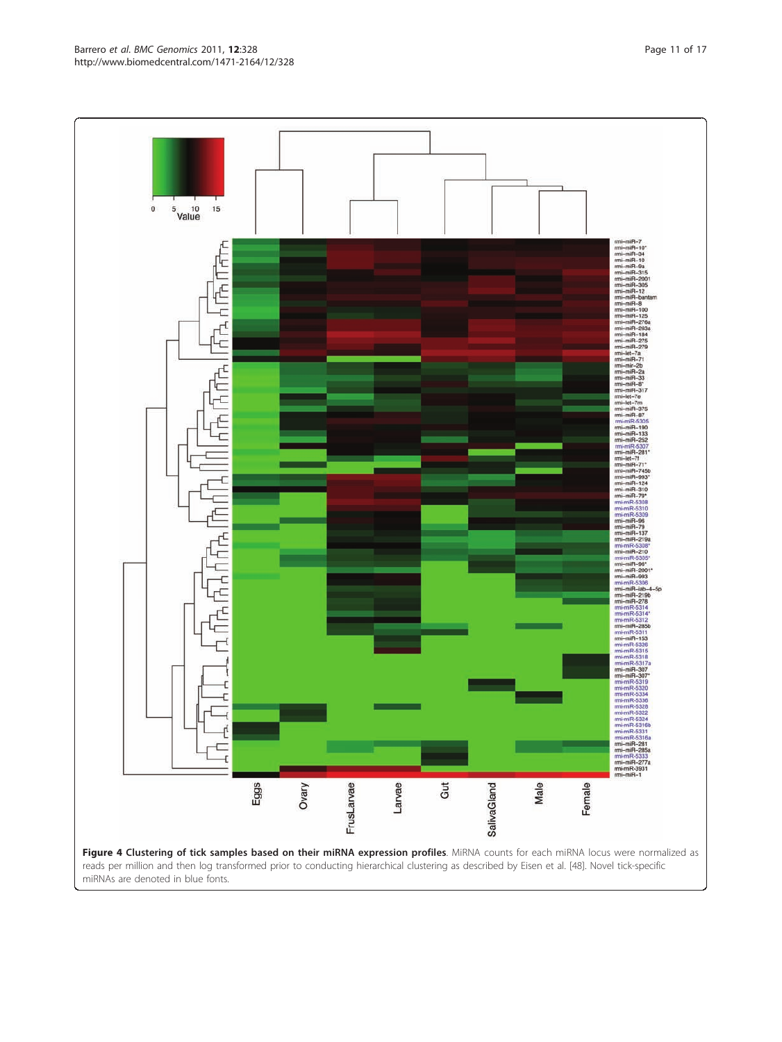<span id="page-10-0"></span>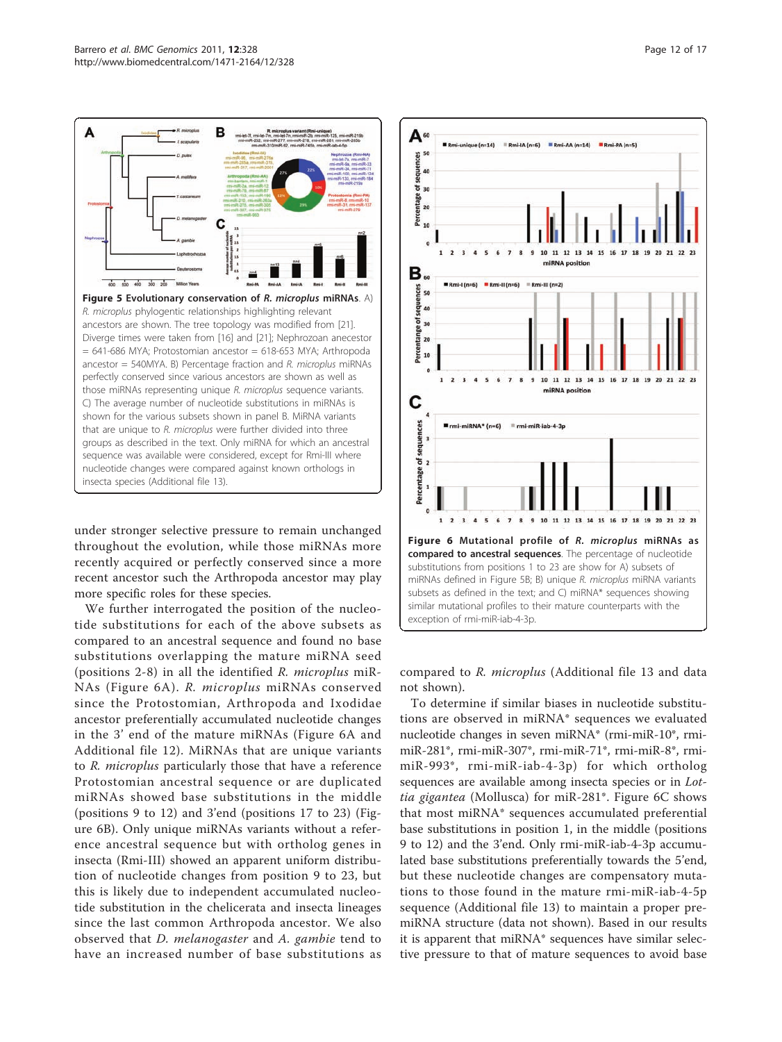<span id="page-11-0"></span>

under stronger selective pressure to remain unchanged throughout the evolution, while those miRNAs more recently acquired or perfectly conserved since a more recent ancestor such the Arthropoda ancestor may play more specific roles for these species.

We further interrogated the position of the nucleotide substitutions for each of the above subsets as compared to an ancestral sequence and found no base substitutions overlapping the mature miRNA seed (positions 2-8) in all the identified R. microplus miR-NAs (Figure 6A). R. microplus miRNAs conserved since the Protostomian, Arthropoda and Ixodidae ancestor preferentially accumulated nucleotide changes in the 3' end of the mature miRNAs (Figure 6A and Additional file [12](#page-15-0)). MiRNAs that are unique variants to R. microplus particularly those that have a reference Protostomian ancestral sequence or are duplicated miRNAs showed base substitutions in the middle (positions 9 to 12) and 3'end (positions 17 to 23) (Figure 6B). Only unique miRNAs variants without a reference ancestral sequence but with ortholog genes in insecta (Rmi-III) showed an apparent uniform distribution of nucleotide changes from position 9 to 23, but this is likely due to independent accumulated nucleotide substitution in the chelicerata and insecta lineages since the last common Arthropoda ancestor. We also observed that D. melanogaster and A. gambie tend to have an increased number of base substitutions as



compared to R. microplus (Additional file [13](#page-15-0) and data not shown).

To determine if similar biases in nucleotide substitutions are observed in miRNA\* sequences we evaluated nucleotide changes in seven miRNA\* (rmi-miR-10\*, rmimiR-281\*, rmi-miR-307\*, rmi-miR-71\*, rmi-miR-8\*, rmimiR-993\*, rmi-miR-iab-4-3p) for which ortholog sequences are available among insecta species or in Lottia gigantea (Mollusca) for miR-281\*. Figure 6C shows that most miRNA\* sequences accumulated preferential base substitutions in position 1, in the middle (positions 9 to 12) and the 3'end. Only rmi-miR-iab-4-3p accumulated base substitutions preferentially towards the 5'end, but these nucleotide changes are compensatory mutations to those found in the mature rmi-miR-iab-4-5p sequence (Additional file [13](#page-15-0)) to maintain a proper premiRNA structure (data not shown). Based in our results it is apparent that miRNA\* sequences have similar selective pressure to that of mature sequences to avoid base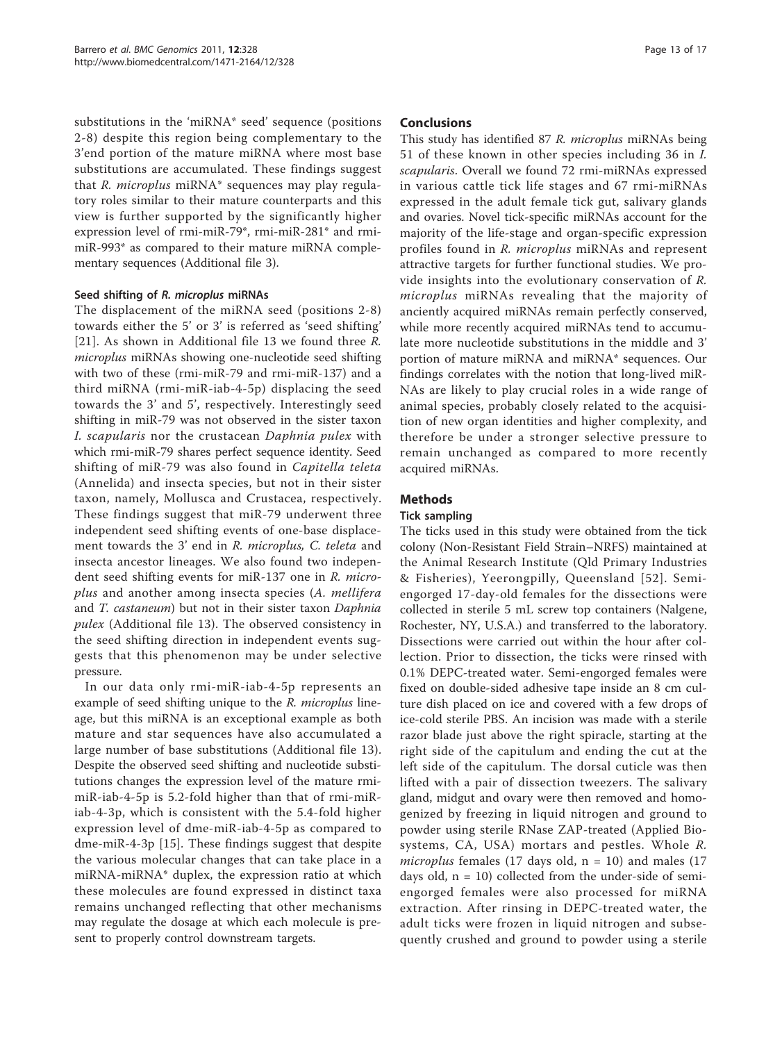substitutions in the 'miRNA\* seed' sequence (positions 2-8) despite this region being complementary to the 3'end portion of the mature miRNA where most base substitutions are accumulated. These findings suggest that R. microplus miRNA\* sequences may play regulatory roles similar to their mature counterparts and this view is further supported by the significantly higher expression level of rmi-miR-79\*, rmi-miR-281\* and rmimiR-993\* as compared to their mature miRNA complementary sequences (Additional file [3](#page-14-0)).

#### Seed shifting of R. microplus miRNAs

The displacement of the miRNA seed (positions 2-8) towards either the 5' or 3' is referred as 'seed shifting' [[21](#page-15-0)]. As shown in Additional file [13](#page-15-0) we found three R. microplus miRNAs showing one-nucleotide seed shifting with two of these (rmi-miR-79 and rmi-miR-137) and a third miRNA (rmi-miR-iab-4-5p) displacing the seed towards the 3' and 5', respectively. Interestingly seed shifting in miR-79 was not observed in the sister taxon I. scapularis nor the crustacean Daphnia pulex with which rmi-miR-79 shares perfect sequence identity. Seed shifting of miR-79 was also found in Capitella teleta (Annelida) and insecta species, but not in their sister taxon, namely, Mollusca and Crustacea, respectively. These findings suggest that miR-79 underwent three independent seed shifting events of one-base displacement towards the 3' end in R. microplus, C. teleta and insecta ancestor lineages. We also found two independent seed shifting events for miR-137 one in R. microplus and another among insecta species (A. mellifera and T. castaneum) but not in their sister taxon Daphnia pulex (Additional file [13\)](#page-15-0). The observed consistency in the seed shifting direction in independent events suggests that this phenomenon may be under selective pressure.

In our data only rmi-miR-iab-4-5p represents an example of seed shifting unique to the R. microplus lineage, but this miRNA is an exceptional example as both mature and star sequences have also accumulated a large number of base substitutions (Additional file [13](#page-15-0)). Despite the observed seed shifting and nucleotide substitutions changes the expression level of the mature rmimiR-iab-4-5p is 5.2-fold higher than that of rmi-miRiab-4-3p, which is consistent with the 5.4-fold higher expression level of dme-miR-iab-4-5p as compared to dme-miR-4-3p [\[15](#page-15-0)]. These findings suggest that despite the various molecular changes that can take place in a miRNA-miRNA\* duplex, the expression ratio at which these molecules are found expressed in distinct taxa remains unchanged reflecting that other mechanisms may regulate the dosage at which each molecule is present to properly control downstream targets.

#### Conclusions

This study has identified 87 R. microplus miRNAs being 51 of these known in other species including 36 in I. scapularis. Overall we found 72 rmi-miRNAs expressed in various cattle tick life stages and 67 rmi-miRNAs expressed in the adult female tick gut, salivary glands and ovaries. Novel tick-specific miRNAs account for the majority of the life-stage and organ-specific expression profiles found in R. microplus miRNAs and represent attractive targets for further functional studies. We provide insights into the evolutionary conservation of R. microplus miRNAs revealing that the majority of anciently acquired miRNAs remain perfectly conserved, while more recently acquired miRNAs tend to accumulate more nucleotide substitutions in the middle and 3' portion of mature miRNA and miRNA\* sequences. Our findings correlates with the notion that long-lived miR-NAs are likely to play crucial roles in a wide range of animal species, probably closely related to the acquisition of new organ identities and higher complexity, and therefore be under a stronger selective pressure to remain unchanged as compared to more recently acquired miRNAs.

## Methods

#### Tick sampling

The ticks used in this study were obtained from the tick colony (Non-Resistant Field Strain–NRFS) maintained at the Animal Research Institute (Qld Primary Industries & Fisheries), Yeerongpilly, Queensland [[52](#page-16-0)]. Semiengorged 17-day-old females for the dissections were collected in sterile 5 mL screw top containers (Nalgene, Rochester, NY, U.S.A.) and transferred to the laboratory. Dissections were carried out within the hour after collection. Prior to dissection, the ticks were rinsed with 0.1% DEPC-treated water. Semi-engorged females were fixed on double-sided adhesive tape inside an 8 cm culture dish placed on ice and covered with a few drops of ice-cold sterile PBS. An incision was made with a sterile razor blade just above the right spiracle, starting at the right side of the capitulum and ending the cut at the left side of the capitulum. The dorsal cuticle was then lifted with a pair of dissection tweezers. The salivary gland, midgut and ovary were then removed and homogenized by freezing in liquid nitrogen and ground to powder using sterile RNase ZAP-treated (Applied Biosystems, CA, USA) mortars and pestles. Whole R. microplus females (17 days old,  $n = 10$ ) and males (17 days old,  $n = 10$ ) collected from the under-side of semiengorged females were also processed for miRNA extraction. After rinsing in DEPC-treated water, the adult ticks were frozen in liquid nitrogen and subsequently crushed and ground to powder using a sterile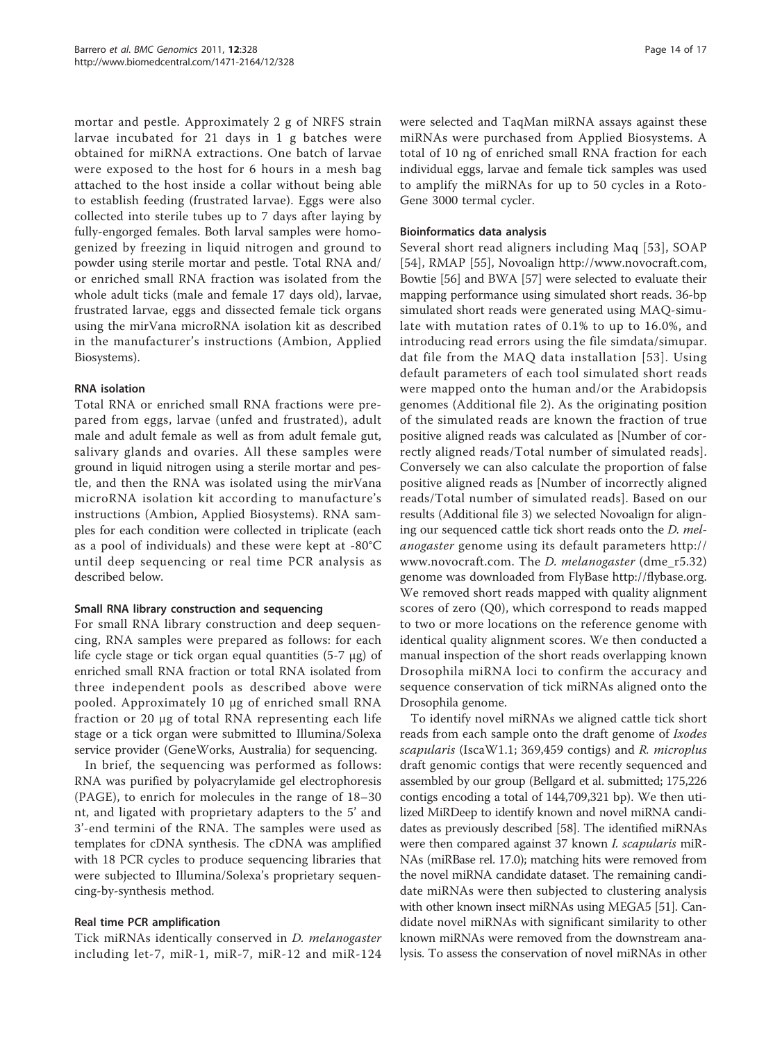mortar and pestle. Approximately 2 g of NRFS strain larvae incubated for 21 days in 1 g batches were obtained for miRNA extractions. One batch of larvae were exposed to the host for 6 hours in a mesh bag attached to the host inside a collar without being able to establish feeding (frustrated larvae). Eggs were also collected into sterile tubes up to 7 days after laying by fully-engorged females. Both larval samples were homogenized by freezing in liquid nitrogen and ground to powder using sterile mortar and pestle. Total RNA and/ or enriched small RNA fraction was isolated from the whole adult ticks (male and female 17 days old), larvae, frustrated larvae, eggs and dissected female tick organs using the mirVana microRNA isolation kit as described in the manufacturer's instructions (Ambion, Applied Biosystems).

## RNA isolation

Total RNA or enriched small RNA fractions were prepared from eggs, larvae (unfed and frustrated), adult male and adult female as well as from adult female gut, salivary glands and ovaries. All these samples were ground in liquid nitrogen using a sterile mortar and pestle, and then the RNA was isolated using the mirVana microRNA isolation kit according to manufacture's instructions (Ambion, Applied Biosystems). RNA samples for each condition were collected in triplicate (each as a pool of individuals) and these were kept at -80°C until deep sequencing or real time PCR analysis as described below.

## Small RNA library construction and sequencing

For small RNA library construction and deep sequencing, RNA samples were prepared as follows: for each life cycle stage or tick organ equal quantities (5-7 μg) of enriched small RNA fraction or total RNA isolated from three independent pools as described above were pooled. Approximately 10 μg of enriched small RNA fraction or 20 μg of total RNA representing each life stage or a tick organ were submitted to Illumina/Solexa service provider (GeneWorks, Australia) for sequencing.

In brief, the sequencing was performed as follows: RNA was purified by polyacrylamide gel electrophoresis (PAGE), to enrich for molecules in the range of 18–30 nt, and ligated with proprietary adapters to the 5' and 3'-end termini of the RNA. The samples were used as templates for cDNA synthesis. The cDNA was amplified with 18 PCR cycles to produce sequencing libraries that were subjected to Illumina/Solexa's proprietary sequencing-by-synthesis method.

## Real time PCR amplification

Tick miRNAs identically conserved in D. melanogaster including let-7, miR-1, miR-7, miR-12 and miR-124 were selected and TaqMan miRNA assays against these miRNAs were purchased from Applied Biosystems. A total of 10 ng of enriched small RNA fraction for each individual eggs, larvae and female tick samples was used to amplify the miRNAs for up to 50 cycles in a Roto-Gene 3000 termal cycler.

## Bioinformatics data analysis

Several short read aligners including Maq [[53\]](#page-16-0), SOAP [[54](#page-16-0)], RMAP [[55](#page-16-0)], Novoalign<http://www.novocraft.com>, Bowtie [\[56](#page-16-0)] and BWA [\[57](#page-16-0)] were selected to evaluate their mapping performance using simulated short reads. 36-bp simulated short reads were generated using MAQ-simulate with mutation rates of 0.1% to up to 16.0%, and introducing read errors using the file simdata/simupar. dat file from the MAQ data installation [[53](#page-16-0)]. Using default parameters of each tool simulated short reads were mapped onto the human and/or the Arabidopsis genomes (Additional file [2\)](#page-14-0). As the originating position of the simulated reads are known the fraction of true positive aligned reads was calculated as [Number of correctly aligned reads/Total number of simulated reads]. Conversely we can also calculate the proportion of false positive aligned reads as [Number of incorrectly aligned reads/Total number of simulated reads]. Based on our results (Additional file [3\)](#page-14-0) we selected Novoalign for aligning our sequenced cattle tick short reads onto the D. melanogaster genome using its default parameters [http://](http://www.novocraft.com) [www.novocraft.com.](http://www.novocraft.com) The D. melanogaster (dme\_r5.32) genome was downloaded from FlyBase<http://flybase.org>. We removed short reads mapped with quality alignment scores of zero (Q0), which correspond to reads mapped to two or more locations on the reference genome with identical quality alignment scores. We then conducted a manual inspection of the short reads overlapping known Drosophila miRNA loci to confirm the accuracy and sequence conservation of tick miRNAs aligned onto the Drosophila genome.

To identify novel miRNAs we aligned cattle tick short reads from each sample onto the draft genome of Ixodes scapularis (IscaW1.1; 369,459 contigs) and R. microplus draft genomic contigs that were recently sequenced and assembled by our group (Bellgard et al. submitted; 175,226 contigs encoding a total of 144,709,321 bp). We then utilized MiRDeep to identify known and novel miRNA candidates as previously described [[58\]](#page-16-0). The identified miRNAs were then compared against 37 known *I. scapularis* miR-NAs (miRBase rel. 17.0); matching hits were removed from the novel miRNA candidate dataset. The remaining candidate miRNAs were then subjected to clustering analysis with other known insect miRNAs using MEGA5 [[51](#page-16-0)]. Candidate novel miRNAs with significant similarity to other known miRNAs were removed from the downstream analysis. To assess the conservation of novel miRNAs in other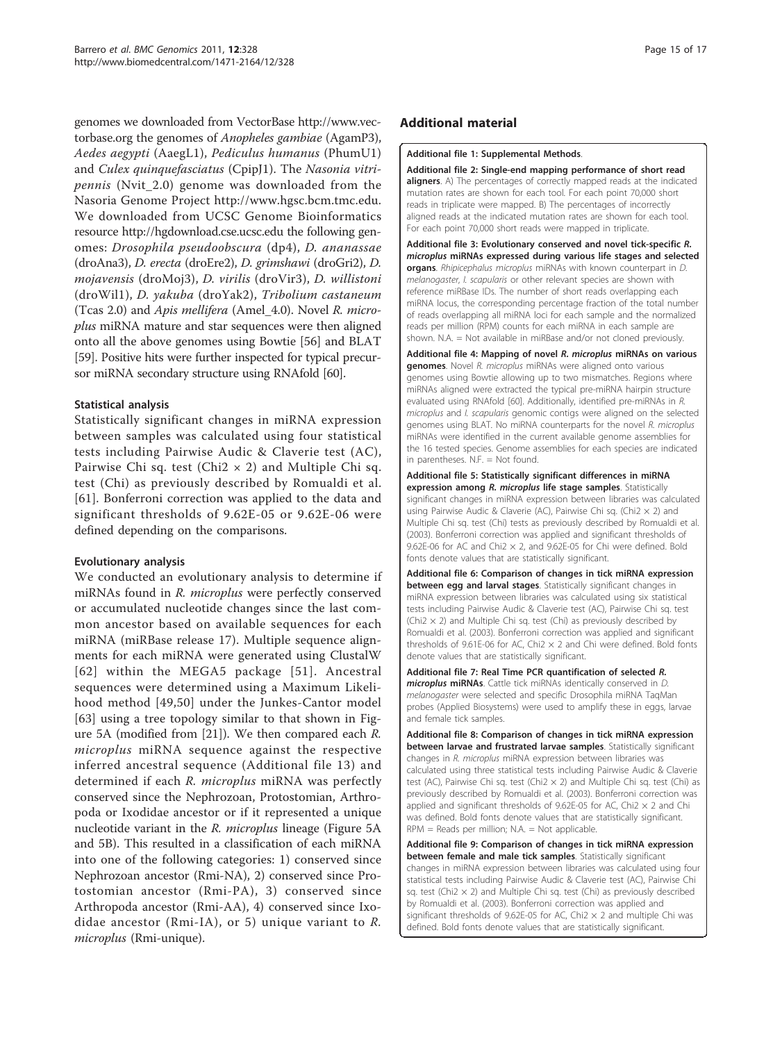<span id="page-14-0"></span>genomes we downloaded from VectorBase [http://www.vec](http://www.vectorbase.org)[torbase.org](http://www.vectorbase.org) the genomes of Anopheles gambiae (AgamP3), Aedes aegypti (AaegL1), Pediculus humanus (PhumU1) and Culex quinquefasciatus (CpipJ1). The Nasonia vitripennis (Nvit\_2.0) genome was downloaded from the Nasoria Genome Project<http://www.hgsc.bcm.tmc.edu>. We downloaded from UCSC Genome Bioinformatics resource<http://hgdownload.cse.ucsc.edu> the following genomes: Drosophila pseudoobscura (dp4), D. ananassae (droAna3), D. erecta (droEre2), D. grimshawi (droGri2), D. mojavensis (droMoj3), D. virilis (droVir3), D. willistoni (droWil1), D. yakuba (droYak2), Tribolium castaneum (Tcas 2.0) and Apis mellifera (Amel\_4.0). Novel R. microplus miRNA mature and star sequences were then aligned onto all the above genomes using Bowtie [[56\]](#page-16-0) and BLAT [[59](#page-16-0)]. Positive hits were further inspected for typical precursor miRNA secondary structure using RNAfold [\[60](#page-16-0)].

## Statistical analysis

Statistically significant changes in miRNA expression between samples was calculated using four statistical tests including Pairwise Audic & Claverie test (AC), Pairwise Chi sq. test (Chi2  $\times$  2) and Multiple Chi sq. test (Chi) as previously described by Romualdi et al. [[61\]](#page-16-0). Bonferroni correction was applied to the data and significant thresholds of 9.62E-05 or 9.62E-06 were defined depending on the comparisons.

## Evolutionary analysis

We conducted an evolutionary analysis to determine if miRNAs found in R. *microplus* were perfectly conserved or accumulated nucleotide changes since the last common ancestor based on available sequences for each miRNA (miRBase release 17). Multiple sequence alignments for each miRNA were generated using ClustalW [[62](#page-16-0)] within the MEGA5 package [[51\]](#page-16-0). Ancestral sequences were determined using a Maximum Likelihood method [[49](#page-16-0),[50](#page-16-0)] under the Junkes-Cantor model [[63\]](#page-16-0) using a tree topology similar to that shown in Figure [5A](#page-11-0) (modified from [[21\]](#page-15-0)). We then compared each R. microplus miRNA sequence against the respective inferred ancestral sequence (Additional file [13](#page-15-0)) and determined if each R. microplus miRNA was perfectly conserved since the Nephrozoan, Protostomian, Arthropoda or Ixodidae ancestor or if it represented a unique nucleotide variant in the R. microplus lineage (Figure [5A](#page-11-0) and [5B\)](#page-11-0). This resulted in a classification of each miRNA into one of the following categories: 1) conserved since Nephrozoan ancestor (Rmi-NA), 2) conserved since Protostomian ancestor (Rmi-PA), 3) conserved since Arthropoda ancestor (Rmi-AA), 4) conserved since Ixodidae ancestor (Rmi-IA), or 5) unique variant to  $R$ . microplus (Rmi-unique).

## Additional material

#### [Additional file 1: S](http://www.biomedcentral.com/content/supplementary/1471-2164-12-328-S1.DOC)upplemental Methods.

[Additional file 2: S](http://www.biomedcentral.com/content/supplementary/1471-2164-12-328-S2.PDF)ingle-end mapping performance of short read aligners. A) The percentages of correctly mapped reads at the indicated mutation rates are shown for each tool. For each point 70,000 short reads in triplicate were mapped. B) The percentages of incorrectly aligned reads at the indicated mutation rates are shown for each tool. For each point 70,000 short reads were mapped in triplicate.

[Additional file 3: E](http://www.biomedcentral.com/content/supplementary/1471-2164-12-328-S3.XLS)volutionary conserved and novel tick-specific R. microplus miRNAs expressed during various life stages and selected organs. Rhipicephalus microplus miRNAs with known counterpart in D. melanogaster. I. scapularis or other relevant species are shown with reference miRBase IDs. The number of short reads overlapping each miRNA locus, the corresponding percentage fraction of the total number of reads overlapping all miRNA loci for each sample and the normalized reads per million (RPM) counts for each miRNA in each sample are shown. N.A. = Not available in miRBase and/or not cloned previously.

[Additional file 4: M](http://www.biomedcentral.com/content/supplementary/1471-2164-12-328-S4.XLS)apping of novel R. microplus miRNAs on various **genomes**. Novel R. microplus miRNAs were aligned onto various genomes using Bowtie allowing up to two mismatches. Regions where miRNAs aligned were extracted the typical pre-miRNA hairpin structure evaluated using RNAfold [[60](#page-16-0)]. Additionally, identified pre-miRNAs in R. microplus and I. scapularis genomic contigs were aligned on the selected genomes using BLAT. No miRNA counterparts for the novel R. microplus miRNAs were identified in the current available genome assemblies for the 16 tested species. Genome assemblies for each species are indicated in parentheses. N.F. = Not found.

[Additional file 5: S](http://www.biomedcentral.com/content/supplementary/1471-2164-12-328-S5.XLS)tatistically significant differences in miRNA expression among R. microplus life stage samples. Statistically significant changes in miRNA expression between libraries was calculated using Pairwise Audic & Claverie (AC), Pairwise Chi sq. (Chi2 × 2) and Multiple Chi sq. test (Chi) tests as previously described by Romualdi et al. (2003). Bonferroni correction was applied and significant thresholds of 9.62E-06 for AC and Chi2  $\times$  2, and 9.62E-05 for Chi were defined. Bold fonts denote values that are statistically significant.

[Additional file 6: C](http://www.biomedcentral.com/content/supplementary/1471-2164-12-328-S6.XLS)omparison of changes in tick miRNA expression between egg and larval stages. Statistically significant changes in miRNA expression between libraries was calculated using six statistical tests including Pairwise Audic & Claverie test (AC), Pairwise Chi sq. test (Chi2  $\times$  2) and Multiple Chi sq. test (Chi) as previously described by Romualdi et al. (2003). Bonferroni correction was applied and significant thresholds of 9.61E-06 for AC, Chi2  $\times$  2 and Chi were defined. Bold fonts denote values that are statistically significant.

[Additional file 7: R](http://www.biomedcentral.com/content/supplementary/1471-2164-12-328-S7.EPS)eal Time PCR quantification of selected R. microplus miRNAs. Cattle tick miRNAs identically conserved in D. melanogaster were selected and specific Drosophila miRNA TaqMan probes (Applied Biosystems) were used to amplify these in eggs, larvae and female tick samples.

[Additional file 8: C](http://www.biomedcentral.com/content/supplementary/1471-2164-12-328-S8.XLS)omparison of changes in tick miRNA expression between larvae and frustrated larvae samples. Statistically significant changes in R. microplus miRNA expression between libraries was calculated using three statistical tests including Pairwise Audic & Claverie test (AC), Pairwise Chi sq. test (Chi2  $\times$  2) and Multiple Chi sq. test (Chi) as previously described by Romualdi et al. (2003). Bonferroni correction was applied and significant thresholds of 9.62E-05 for AC, Chi2  $\times$  2 and Chi was defined. Bold fonts denote values that are statistically significant. RPM = Reads per million; N.A. = Not applicable.

[Additional file 9: C](http://www.biomedcentral.com/content/supplementary/1471-2164-12-328-S9.XLS)omparison of changes in tick miRNA expression between female and male tick samples. Statistically significant changes in miRNA expression between libraries was calculated using four statistical tests including Pairwise Audic & Claverie test (AC), Pairwise Chi sq. test (Chi2  $\times$  2) and Multiple Chi sq. test (Chi) as previously described by Romualdi et al. (2003). Bonferroni correction was applied and significant thresholds of 9.62E-05 for AC, Chi2  $\times$  2 and multiple Chi was defined. Bold fonts denote values that are statistically significant.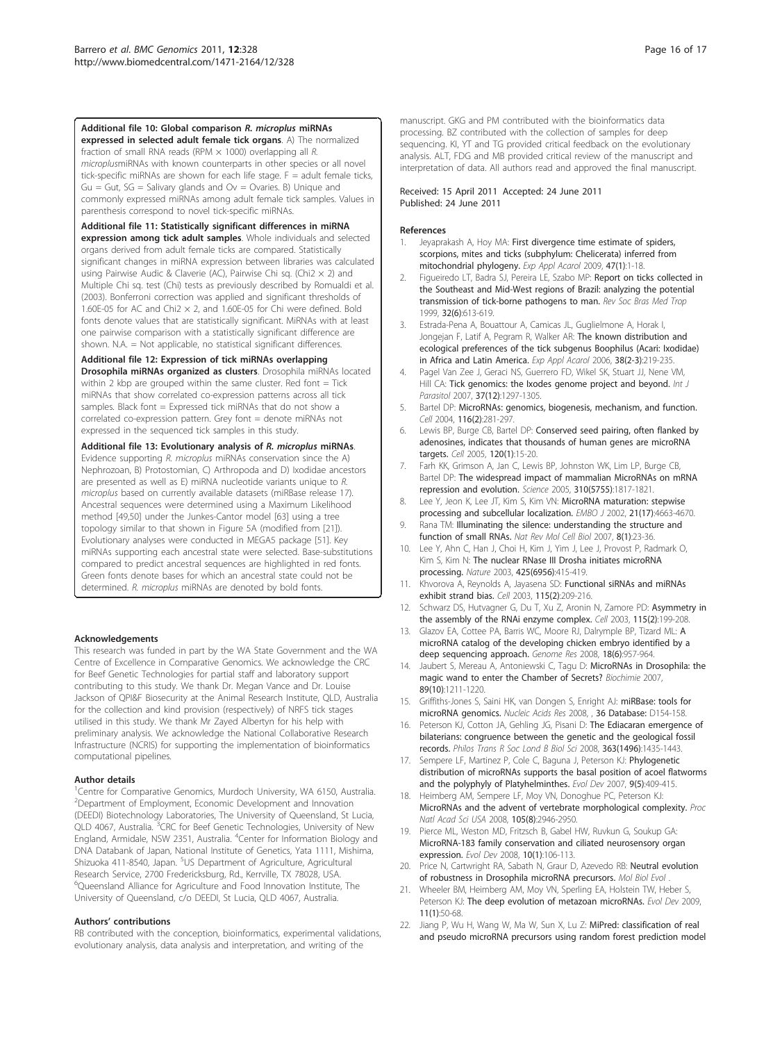<span id="page-15-0"></span>[Additional file 10: G](http://www.biomedcentral.com/content/supplementary/1471-2164-12-328-S10.EPS)lobal comparison R. microplus miRNAs expressed in selected adult female tick organs. A) The normalized fraction of small RNA reads (RPM  $\times$  1000) overlapping all R. microplusmiRNAs with known counterparts in other species or all novel tick-specific miRNAs are shown for each life stage. F = adult female ticks,  $Gu = Gut$ ,  $SG = Salivary$  glands and  $Ov = Ovaries$ . B) Unique and commonly expressed miRNAs among adult female tick samples. Values in parenthesis correspond to novel tick-specific miRNAs.

[Additional file 11: S](http://www.biomedcentral.com/content/supplementary/1471-2164-12-328-S11.XLS)tatistically significant differences in miRNA

expression among tick adult samples. Whole individuals and selected organs derived from adult female ticks are compared. Statistically significant changes in miRNA expression between libraries was calculated using Pairwise Audic & Claverie (AC), Pairwise Chi sq. (Chi2  $\times$  2) and Multiple Chi sq. test (Chi) tests as previously described by Romualdi et al. (2003). Bonferroni correction was applied and significant thresholds of 1.60E-05 for AC and Chi2  $\times$  2, and 1.60E-05 for Chi were defined. Bold fonts denote values that are statistically significant. MiRNAs with at least one pairwise comparison with a statistically significant difference are shown. N.A. = Not applicable, no statistical significant differences.

#### [Additional file 12: E](http://www.biomedcentral.com/content/supplementary/1471-2164-12-328-S12.EPS)xpression of tick miRNAs overlapping

Drosophila miRNAs organized as clusters. Drosophila miRNAs located within 2 kbp are grouped within the same cluster. Red font  $=$  Tick miRNAs that show correlated co-expression patterns across all tick samples. Black font = Expressed tick miRNAs that do not show a correlated co-expression pattern. Grey font = denote miRNAs not expressed in the sequenced tick samples in this study.

[Additional file 13: E](http://www.biomedcentral.com/content/supplementary/1471-2164-12-328-S13.XLS)volutionary analysis of R. microplus miRNAs. Evidence supporting R. microplus miRNAs conservation since the A) Nephrozoan, B) Protostomian, C) Arthropoda and D) Ixodidae ancestors are presented as well as E) miRNA nucleotide variants unique to R. microplus based on currently available datasets (miRBase release 17). Ancestral sequences were determined using a Maximum Likelihood method [\[49](#page-16-0),[50\]](#page-16-0) under the Junkes-Cantor model [[63](#page-16-0)] using a tree topology similar to that shown in Figure [5A](#page-11-0) (modified from [21]). Evolutionary analyses were conducted in MEGA5 package [[51\]](#page-16-0). Key miRNAs supporting each ancestral state were selected. Base-substitutions compared to predict ancestral sequences are highlighted in red fonts. Green fonts denote bases for which an ancestral state could not be determined. R. microplus miRNAs are denoted by bold fonts.

#### Acknowledgements

This research was funded in part by the WA State Government and the WA Centre of Excellence in Comparative Genomics. We acknowledge the CRC for Beef Genetic Technologies for partial staff and laboratory support contributing to this study. We thank Dr. Megan Vance and Dr. Louise Jackson of QPI&F Biosecurity at the Animal Research Institute, QLD, Australia for the collection and kind provision (respectively) of NRFS tick stages utilised in this study. We thank Mr Zayed Albertyn for his help with preliminary analysis. We acknowledge the National Collaborative Research Infrastructure (NCRIS) for supporting the implementation of bioinformatics computational pipelines.

#### Author details

<sup>1</sup> Centre for Comparative Genomics, Murdoch University, WA 6150, Australia. 2 Department of Employment, Economic Development and Innovation (DEEDI) Biotechnology Laboratories, The University of Queensland, St Lucia, QLD 4067, Australia.<sup>3</sup>CRC for Beef Genetic Technologies, University of New England, Armidale, NSW 2351, Australia. <sup>4</sup>Center for Information Biology and DNA Databank of Japan, National Institute of Genetics, Yata 1111, Mishima, Shizuoka 411-8540, Japan. <sup>5</sup>US Department of Agriculture, Agricultural Research Service, 2700 Fredericksburg, Rd., Kerrville, TX 78028, USA. 6 Queensland Alliance for Agriculture and Food Innovation Institute, The University of Queensland, c/o DEEDI, St Lucia, QLD 4067, Australia.

#### Authors' contributions

RB contributed with the conception, bioinformatics, experimental validations, evolutionary analysis, data analysis and interpretation, and writing of the

manuscript. GKG and PM contributed with the bioinformatics data processing. BZ contributed with the collection of samples for deep sequencing. KI, YT and TG provided critical feedback on the evolutionary analysis. ALT, FDG and MB provided critical review of the manuscript and interpretation of data. All authors read and approved the final manuscript.

#### Received: 15 April 2011 Accepted: 24 June 2011 Published: 24 June 2011

#### References

- Jeyaprakash A, Hoy MA: [First divergence time estimate of spiders,](http://www.ncbi.nlm.nih.gov/pubmed/18931924?dopt=Abstract) [scorpions, mites and ticks \(subphylum: Chelicerata\) inferred from](http://www.ncbi.nlm.nih.gov/pubmed/18931924?dopt=Abstract) [mitochondrial phylogeny.](http://www.ncbi.nlm.nih.gov/pubmed/18931924?dopt=Abstract) Exp Appl Acarol 2009, 47(1):1-18.
- 2. Figueiredo LT, Badra SJ, Pereira LE, Szabo MP: [Report on ticks collected in](http://www.ncbi.nlm.nih.gov/pubmed/10881097?dopt=Abstract) [the Southeast and Mid-West regions of Brazil: analyzing the potential](http://www.ncbi.nlm.nih.gov/pubmed/10881097?dopt=Abstract) [transmission of tick-borne pathogens to man.](http://www.ncbi.nlm.nih.gov/pubmed/10881097?dopt=Abstract) Rev Soc Bras Med Trop 1999, 32(6):613-619.
- 3. Estrada-Pena A, Bouattour A, Camicas JL, Guglielmone A, Horak I, Jongejan F, Latif A, Pegram R, Walker AR: [The known distribution and](http://www.ncbi.nlm.nih.gov/pubmed/16596355?dopt=Abstract) [ecological preferences of the tick subgenus Boophilus \(Acari: Ixodidae\)](http://www.ncbi.nlm.nih.gov/pubmed/16596355?dopt=Abstract) [in Africa and Latin America.](http://www.ncbi.nlm.nih.gov/pubmed/16596355?dopt=Abstract) Exp Appl Acarol 2006, 38(2-3):219-235.
- 4. Pagel Van Zee J, Geraci NS, Guerrero FD, Wikel SK, Stuart JJ, Nene VM, Hill CA: [Tick genomics: the Ixodes genome project and beyond.](http://www.ncbi.nlm.nih.gov/pubmed/17624352?dopt=Abstract) Int J Parasitol 2007, 37(12):1297-1305.
- 5. Bartel DP: [MicroRNAs: genomics, biogenesis, mechanism, and function.](http://www.ncbi.nlm.nih.gov/pubmed/14744438?dopt=Abstract) Cell 2004, 116(2):281-297.
- 6. Lewis BP, Burge CB, Bartel DP: [Conserved seed pairing, often flanked by](http://www.ncbi.nlm.nih.gov/pubmed/15652477?dopt=Abstract) [adenosines, indicates that thousands of human genes are microRNA](http://www.ncbi.nlm.nih.gov/pubmed/15652477?dopt=Abstract) [targets.](http://www.ncbi.nlm.nih.gov/pubmed/15652477?dopt=Abstract) Cell 2005, 120(1):15-20.
- 7. Farh KK, Grimson A, Jan C, Lewis BP, Johnston WK, Lim LP, Burge CB, Bartel DP: [The widespread impact of mammalian MicroRNAs on mRNA](http://www.ncbi.nlm.nih.gov/pubmed/16308420?dopt=Abstract) [repression and evolution.](http://www.ncbi.nlm.nih.gov/pubmed/16308420?dopt=Abstract) Science 2005, 310(5755):1817-1821.
- 8. Lee Y, Jeon K, Lee JT, Kim S, Kim VN: [MicroRNA maturation: stepwise](http://www.ncbi.nlm.nih.gov/pubmed/12198168?dopt=Abstract) [processing and subcellular localization.](http://www.ncbi.nlm.nih.gov/pubmed/12198168?dopt=Abstract) EMBO J 2002, 21(17):4663-4670.
- 9. Rana TM: [Illuminating the silence: understanding the structure and](http://www.ncbi.nlm.nih.gov/pubmed/17183358?dopt=Abstract) [function of small RNAs.](http://www.ncbi.nlm.nih.gov/pubmed/17183358?dopt=Abstract) Nat Rev Mol Cell Biol 2007, 8(1):23-36.
- 10. Lee Y, Ahn C, Han J, Choi H, Kim J, Yim J, Lee J, Provost P, Radmark O, Kim S, Kim N: [The nuclear RNase III Drosha initiates microRNA](http://www.ncbi.nlm.nih.gov/pubmed/14508493?dopt=Abstract) [processing.](http://www.ncbi.nlm.nih.gov/pubmed/14508493?dopt=Abstract) Nature 2003, 425(6956):415-419.
- 11. Khvorova A, Reynolds A, Jayasena SD: [Functional siRNAs and miRNAs](http://www.ncbi.nlm.nih.gov/pubmed/14567918?dopt=Abstract) [exhibit strand bias.](http://www.ncbi.nlm.nih.gov/pubmed/14567918?dopt=Abstract) Cell 2003, 115(2):209-216.
- 12. Schwarz DS, Hutvagner G, Du T, Xu Z, Aronin N, Zamore PD: [Asymmetry in](http://www.ncbi.nlm.nih.gov/pubmed/14567917?dopt=Abstract) [the assembly of the RNAi enzyme complex.](http://www.ncbi.nlm.nih.gov/pubmed/14567917?dopt=Abstract) Cell 2003, 115(2):199-208.
- 13. Glazov E[A](http://www.ncbi.nlm.nih.gov/pubmed/18469162?dopt=Abstract), Cottee PA, Barris WC, Moore RJ, Dalrymple BP, Tizard ML: A [microRNA catalog of the developing chicken embryo identified by a](http://www.ncbi.nlm.nih.gov/pubmed/18469162?dopt=Abstract) [deep sequencing approach.](http://www.ncbi.nlm.nih.gov/pubmed/18469162?dopt=Abstract) Genome Res 2008, 18(6):957-964.
- 14. Jaubert S, Mereau A, Antoniewski C, Tagu D: [MicroRNAs in Drosophila: the](http://www.ncbi.nlm.nih.gov/pubmed/17629606?dopt=Abstract) [magic wand to enter the Chamber of Secrets?](http://www.ncbi.nlm.nih.gov/pubmed/17629606?dopt=Abstract) Biochimie 2007, 89(10):1211-1220.
- 15. Griffiths-Jones S, Saini HK, van Dongen S, Enright AJ: miRBase: tools for microRNA genomics. Nucleic Acids Res 2008, 36 Database: D154-158.
- 16. Peterson KJ, Cotton JA, Gehling JG, Pisani D: [The Ediacaran emergence of](http://www.ncbi.nlm.nih.gov/pubmed/18192191?dopt=Abstract) [bilaterians: congruence between the genetic and the geological fossil](http://www.ncbi.nlm.nih.gov/pubmed/18192191?dopt=Abstract) [records.](http://www.ncbi.nlm.nih.gov/pubmed/18192191?dopt=Abstract) Philos Trans R Soc Lond B Biol Sci 2008, 363(1496):1435-1443.
- 17. Sempere LF, Martinez P, Cole C, Baguna J, Peterson KJ: [Phylogenetic](http://www.ncbi.nlm.nih.gov/pubmed/17845513?dopt=Abstract) [distribution of microRNAs supports the basal position of acoel flatworms](http://www.ncbi.nlm.nih.gov/pubmed/17845513?dopt=Abstract) [and the polyphyly of Platyhelminthes.](http://www.ncbi.nlm.nih.gov/pubmed/17845513?dopt=Abstract) Evol Dev 2007, 9(5):409-415.
- 18. Heimberg AM, Sempere LF, Moy VN, Donoghue PC, Peterson KJ: [MicroRNAs and the advent of vertebrate morphological complexity.](http://www.ncbi.nlm.nih.gov/pubmed/18287013?dopt=Abstract) Proc Natl Acad Sci USA 2008, 105(8):2946-2950.
- 19. Pierce ML, Weston MD, Fritzsch B, Gabel HW, Ruvkun G, Soukup GA: [MicroRNA-183 family conservation and ciliated neurosensory organ](http://www.ncbi.nlm.nih.gov/pubmed/18184361?dopt=Abstract) [expression.](http://www.ncbi.nlm.nih.gov/pubmed/18184361?dopt=Abstract) Evol Dev 2008, 10(1):106-113.
- 20. Price N, Cartwright RA, Sabath N, Graur D, Azevedo RB: Neutral evolution of robustness in Drosophila microRNA precursors. Mol Biol Evol
- 21. Wheeler BM, Heimberg AM, Moy VN, Sperling EA, Holstein TW, Heber S, Peterson KJ: [The deep evolution of metazoan microRNAs.](http://www.ncbi.nlm.nih.gov/pubmed/19196333?dopt=Abstract) Evol Dev 2009, 11(1):50-68.
- 22. Jiang P, Wu H, Wang W, Ma W, Sun X, Lu Z: MiPred: classification of real and pseudo microRNA precursors using random forest prediction model